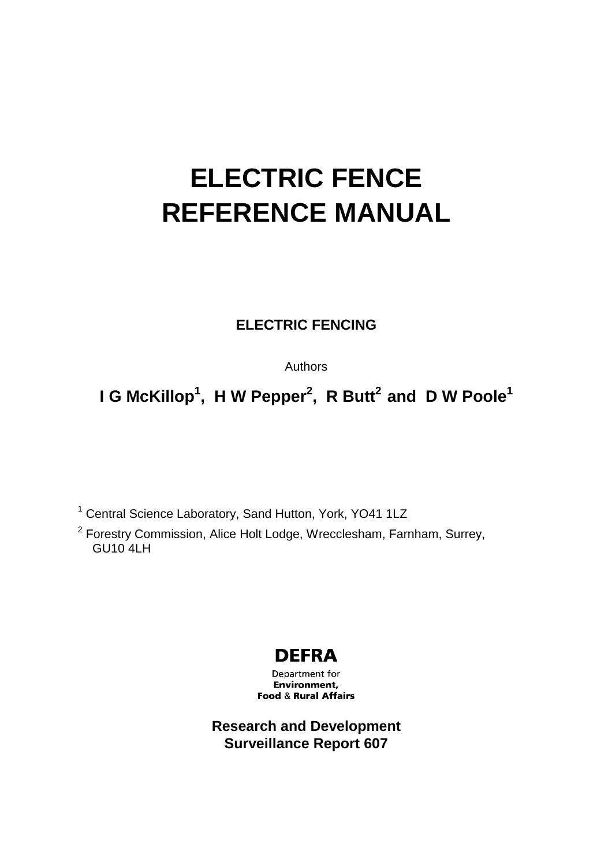# **ELECTRIC FENCE REFERENCE MANUAL**

## **ELECTRIC FENCING**

Authors

**I** G McKillop<sup>1</sup>, H W Pepper<sup>2</sup>, R Butt<sup>2</sup> and D W Poole<sup>1</sup>

<sup>1</sup> Central Science Laboratory, Sand Hutton, York, YO41 1LZ

 $2$  Forestry Commission, Alice Holt Lodge, Wrecclesham, Farnham, Surrey,  $GU104H$ 

## **DEFRA**

Department for Environment. **Food & Rural Affairs** 

**Research and Development Surveillance Report 607**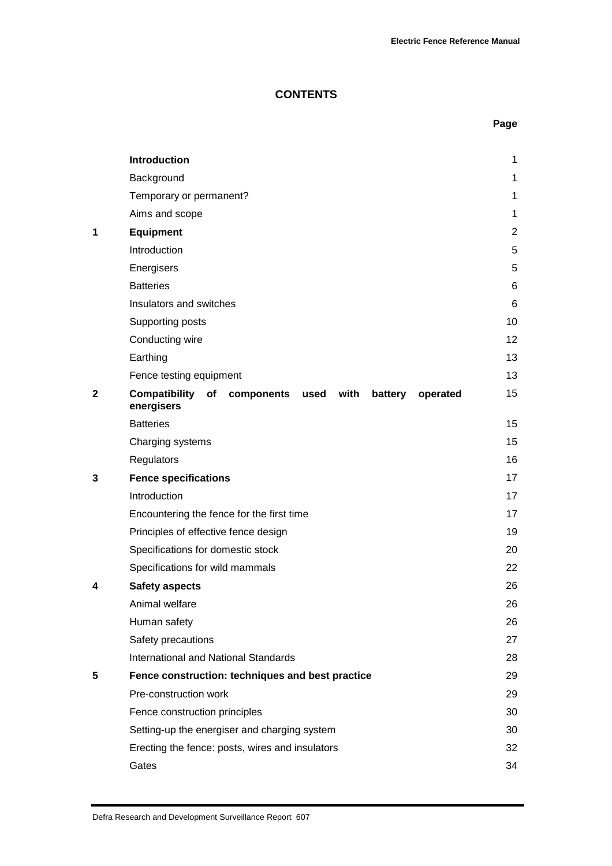**Page**

## **CONTENTS**

|              | <b>Introduction</b>                                                                  | 1              |
|--------------|--------------------------------------------------------------------------------------|----------------|
|              | Background                                                                           | 1              |
|              | Temporary or permanent?                                                              | 1              |
|              | Aims and scope                                                                       | 1              |
| 1            | <b>Equipment</b>                                                                     | $\overline{2}$ |
|              | Introduction                                                                         | 5              |
|              | Energisers                                                                           | 5              |
|              | <b>Batteries</b>                                                                     | 6              |
|              | Insulators and switches                                                              | 6              |
|              | Supporting posts                                                                     | 10             |
|              | Conducting wire                                                                      | 12             |
|              | Earthing                                                                             | 13             |
|              | Fence testing equipment                                                              | 13             |
| $\mathbf{2}$ | <b>Compatibility of components</b><br>used with<br>battery<br>operated<br>energisers | 15             |
|              | <b>Batteries</b>                                                                     | 15             |
|              | Charging systems                                                                     | 15             |
|              | Regulators                                                                           | 16             |
| 3            | <b>Fence specifications</b>                                                          | 17             |
|              | Introduction                                                                         | 17             |
|              | Encountering the fence for the first time                                            | 17             |
|              | Principles of effective fence design                                                 | 19             |
|              | Specifications for domestic stock                                                    | 20             |
|              | Specifications for wild mammals                                                      | 22             |
| 4            | <b>Safety aspects</b>                                                                | 26             |
|              | Animal welfare                                                                       | 26             |
|              | Human safety                                                                         | 26             |
|              | Safety precautions                                                                   | 27             |
|              | <b>International and National Standards</b>                                          | 28             |
| 5            | Fence construction: techniques and best practice                                     | 29             |
|              | Pre-construction work                                                                | 29             |
|              | Fence construction principles                                                        | 30             |
|              | Setting-up the energiser and charging system                                         | 30             |
|              | Erecting the fence: posts, wires and insulators                                      | 32             |
|              | Gates                                                                                | 34             |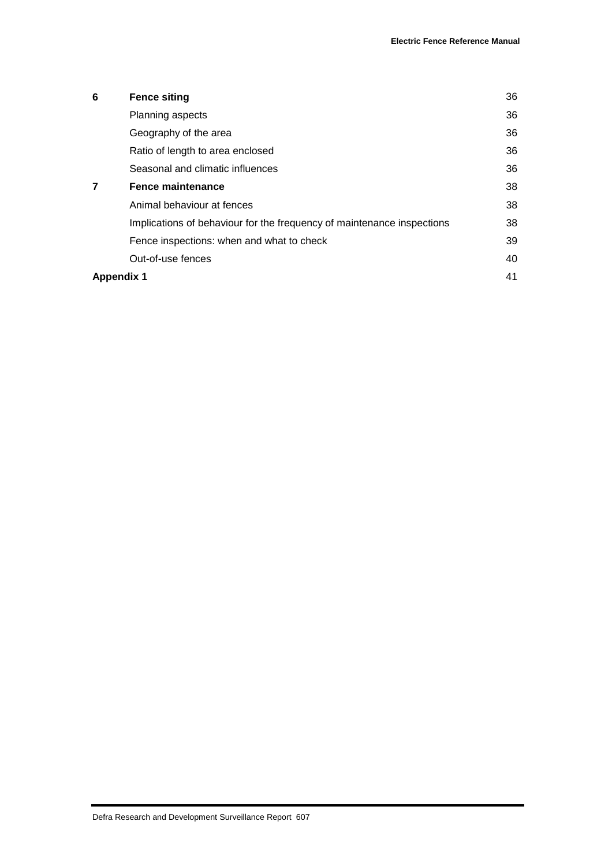| 6                 | <b>Fence siting</b>                                                    | 36 |  |
|-------------------|------------------------------------------------------------------------|----|--|
|                   | Planning aspects                                                       | 36 |  |
|                   | Geography of the area                                                  | 36 |  |
|                   | Ratio of length to area enclosed                                       | 36 |  |
|                   | Seasonal and climatic influences                                       | 36 |  |
|                   | <b>Fence maintenance</b>                                               | 38 |  |
|                   | Animal behaviour at fences                                             | 38 |  |
|                   | Implications of behaviour for the frequency of maintenance inspections | 38 |  |
|                   | Fence inspections: when and what to check                              | 39 |  |
|                   | Out-of-use fences                                                      | 40 |  |
| <b>Appendix 1</b> |                                                                        |    |  |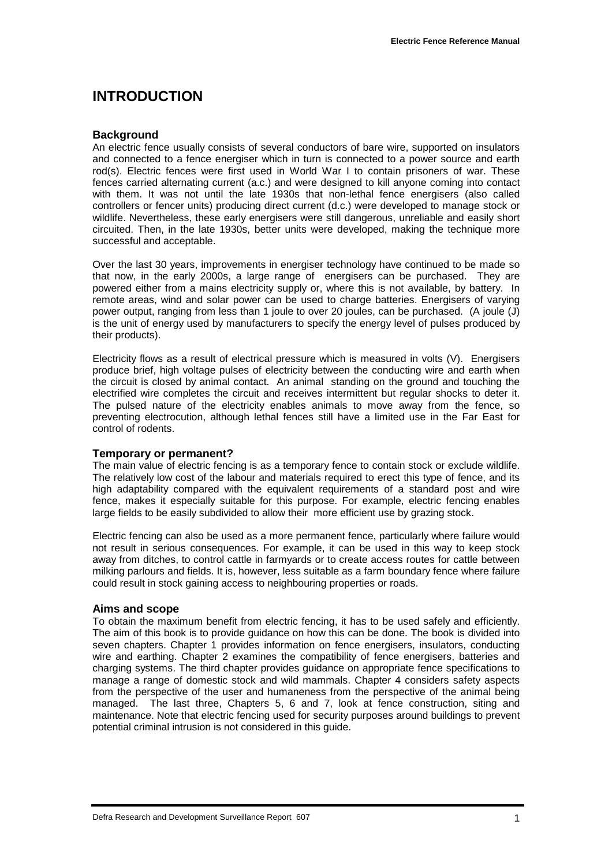## **INTRODUCTION**

#### **Background**

An electric fence usually consists of several conductors of bare wire, supported on insulators and connected to a fence energiser which in turn is connected to a power source and earth rod(s). Electric fences were first used in World War I to contain prisoners of war. These fences carried alternating current (a.c.) and were designed to kill anyone coming into contact with them. It was not until the late 1930s that non-lethal fence energisers (also called controllers or fencer units) producing direct current (d.c.) were developed to manage stock or wildlife. Nevertheless, these early energisers were still dangerous, unreliable and easily short circuited. Then, in the late 1930s, better units were developed, making the technique more successful and acceptable.

Over the last 30 years, improvements in energiser technology have continued to be made so that now, in the early 2000s, a large range of energisers can be purchased. They are powered either from a mains electricity supply or, where this is not available, by battery. In remote areas, wind and solar power can be used to charge batteries. Energisers of varying power output, ranging from less than 1 joule to over 20 joules, can be purchased. (A joule (J) is the unit of energy used by manufacturers to specify the energy level of pulses produced by their products).

Electricity flows as a result of electrical pressure which is measured in volts (V). Energisers produce brief, high voltage pulses of electricity between the conducting wire and earth when the circuit is closed by animal contact. An animal standing on the ground and touching the electrified wire completes the circuit and receives intermittent but regular shocks to deter it. The pulsed nature of the electricity enables animals to move away from the fence, so preventing electrocution, although lethal fences still have a limited use in the Far East for control of rodents.

#### **Temporary or permanent?**

The main value of electric fencing is as a temporary fence to contain stock or exclude wildlife. The relatively low cost of the labour and materials required to erect this type of fence, and its high adaptability compared with the equivalent requirements of a standard post and wire fence, makes it especially suitable for this purpose. For example, electric fencing enables large fields to be easily subdivided to allow their more efficient use by grazing stock.

Electric fencing can also be used as a more permanent fence, particularly where failure would not result in serious consequences. For example, it can be used in this way to keep stock away from ditches, to control cattle in farmyards or to create access routes for cattle between milking parlours and fields. It is, however, less suitable as a farm boundary fence where failure could result in stock gaining access to neighbouring properties or roads.

#### **Aims and scope**

To obtain the maximum benefit from electric fencing, it has to be used safely and efficiently. The aim of this book is to provide guidance on how this can be done. The book is divided into seven chapters. Chapter 1 provides information on fence energisers, insulators, conducting wire and earthing. Chapter 2 examines the compatibility of fence energisers, batteries and charging systems. The third chapter provides guidance on appropriate fence specifications to manage a range of domestic stock and wild mammals. Chapter 4 considers safety aspects from the perspective of the user and humaneness from the perspective of the animal being managed. The last three, Chapters 5, 6 and 7, look at fence construction, siting and maintenance. Note that electric fencing used for security purposes around buildings to prevent potential criminal intrusion is not considered in this guide.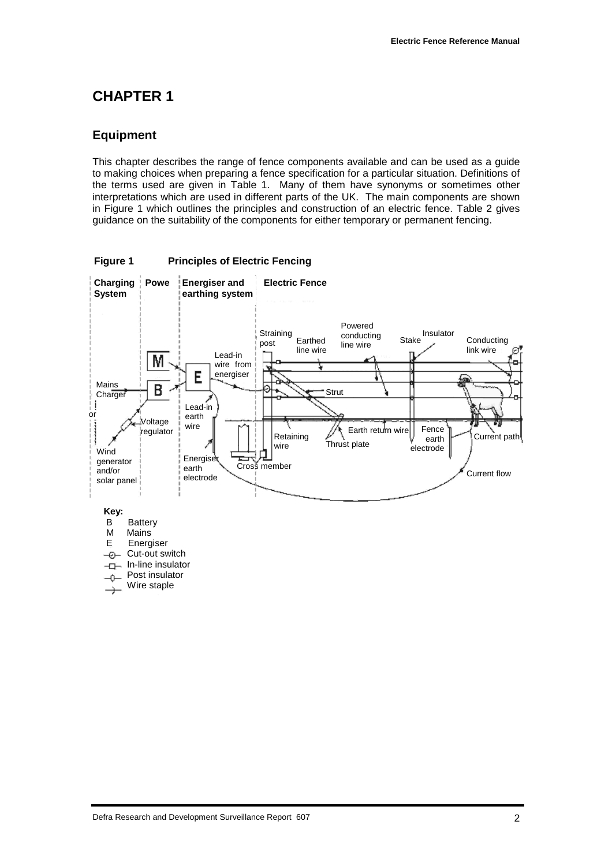## **CHAPTER 1**

## **Equipment**

This chapter describes the range of fence components available and can be used as a guide to making choices when preparing a fence specification for a particular situation. Definitions of the terms used are given in Table 1. Many of them have synonyms or sometimes other interpretations which are used in different parts of the UK. The main components are shown in Figure 1 which outlines the principles and construction of an electric fence. Table 2 gives guidance on the suitability of the components for either temporary or permanent fencing.

**Figure 1 Principles of Electric Fencing**

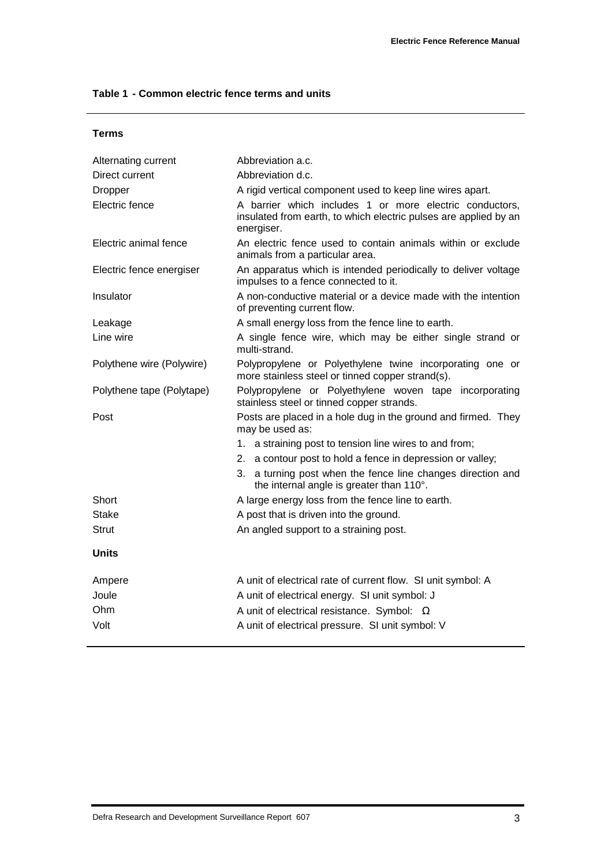#### **Table 1 - Common electric fence terms and units**

| M<br>۰.<br>٧ |
|--------------|
|--------------|

| Alternating current       | Abbreviation a.c.                                                                                                                         |
|---------------------------|-------------------------------------------------------------------------------------------------------------------------------------------|
| Direct current            | Abbreviation d.c.                                                                                                                         |
| <b>Dropper</b>            | A rigid vertical component used to keep line wires apart.                                                                                 |
| Electric fence            | A barrier which includes 1 or more electric conductors,<br>insulated from earth, to which electric pulses are applied by an<br>energiser. |
| Electric animal fence     | An electric fence used to contain animals within or exclude<br>animals from a particular area.                                            |
| Electric fence energiser  | An apparatus which is intended periodically to deliver voltage<br>impulses to a fence connected to it.                                    |
| Insulator                 | A non-conductive material or a device made with the intention<br>of preventing current flow.                                              |
| Leakage                   | A small energy loss from the fence line to earth.                                                                                         |
| Line wire                 | A single fence wire, which may be either single strand or<br>multi-strand.                                                                |
| Polythene wire (Polywire) | Polypropylene or Polyethylene twine incorporating one or<br>more stainless steel or tinned copper strand(s).                              |
| Polythene tape (Polytape) | Polypropylene or Polyethylene woven tape incorporating<br>stainless steel or tinned copper strands.                                       |
| Post                      | Posts are placed in a hole dug in the ground and firmed. They<br>may be used as:                                                          |
|                           | 1. a straining post to tension line wires to and from;                                                                                    |
|                           | 2. a contour post to hold a fence in depression or valley;                                                                                |
|                           | 3. a turning post when the fence line changes direction and<br>the internal angle is greater than 110°.                                   |
| Short                     | A large energy loss from the fence line to earth.                                                                                         |
| Stake                     | A post that is driven into the ground.                                                                                                    |
| <b>Strut</b>              | An angled support to a straining post.                                                                                                    |
| <b>Units</b>              |                                                                                                                                           |
| Ampere                    | A unit of electrical rate of current flow. SI unit symbol: A                                                                              |
| Joule                     | A unit of electrical energy. SI unit symbol: J                                                                                            |
| Ohm                       | A unit of electrical resistance. Symbol: $\Omega$                                                                                         |
| Volt                      | A unit of electrical pressure. SI unit symbol: V                                                                                          |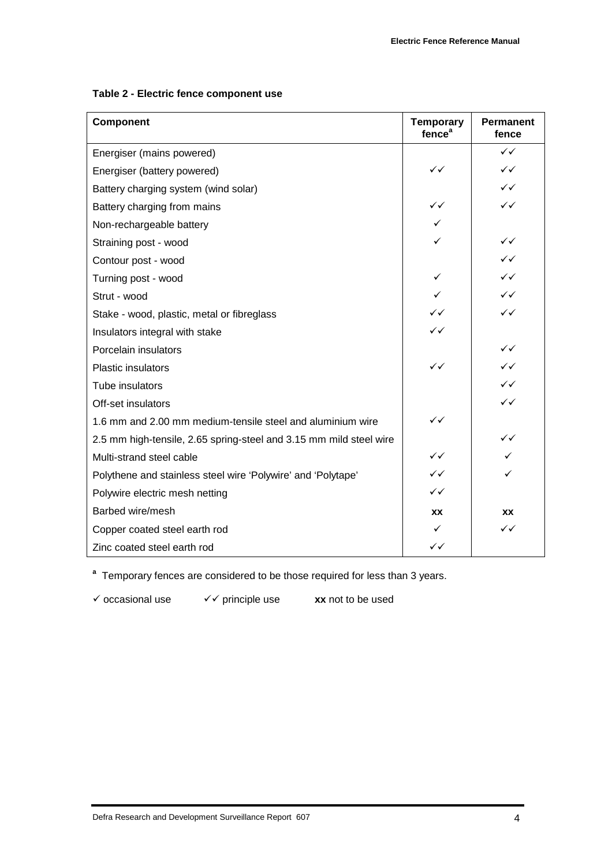|  |  |  | Table 2 - Electric fence component use |  |
|--|--|--|----------------------------------------|--|
|--|--|--|----------------------------------------|--|

| Component                                                          | <b>Temporary</b><br>fence <sup>a</sup> | <b>Permanent</b><br>fence |
|--------------------------------------------------------------------|----------------------------------------|---------------------------|
| Energiser (mains powered)                                          |                                        | $\checkmark$              |
| Energiser (battery powered)                                        | $\checkmark$                           | $\checkmark$              |
| Battery charging system (wind solar)                               |                                        | $\checkmark$              |
| Battery charging from mains                                        | ✓✓                                     | $\checkmark$              |
| Non-rechargeable battery                                           | ✓                                      |                           |
| Straining post - wood                                              |                                        | $\checkmark$              |
| Contour post - wood                                                |                                        | $\checkmark$              |
| Turning post - wood                                                | ✓                                      | $\checkmark$              |
| Strut - wood                                                       | ✓                                      | $\checkmark$              |
| Stake - wood, plastic, metal or fibreglass                         | ✓✓                                     | $\checkmark$              |
| Insulators integral with stake                                     | ✓✓                                     |                           |
| Porcelain insulators                                               |                                        | $\checkmark$              |
| <b>Plastic insulators</b>                                          | $\checkmark$                           | $\checkmark$              |
| Tube insulators                                                    |                                        | ✓✓                        |
| Off-set insulators                                                 |                                        | $\checkmark$              |
| 1.6 mm and 2.00 mm medium-tensile steel and aluminium wire         | $\checkmark$                           |                           |
| 2.5 mm high-tensile, 2.65 spring-steel and 3.15 mm mild steel wire |                                        | $\checkmark$              |
| Multi-strand steel cable                                           | ✓✓                                     | ✓                         |
| Polythene and stainless steel wire 'Polywire' and 'Polytape'       | ✓✓                                     | ✓                         |
| Polywire electric mesh netting                                     | ✓✓                                     |                           |
| Barbed wire/mesh                                                   | <b>XX</b>                              | XX                        |
| Copper coated steel earth rod                                      | ✓                                      | $\checkmark$              |
| Zinc coated steel earth rod                                        | ✓✓                                     |                           |

**a** Temporary fences are considered to be those required for less than 3 years.

! occasional use !! principle use **xx** not to be used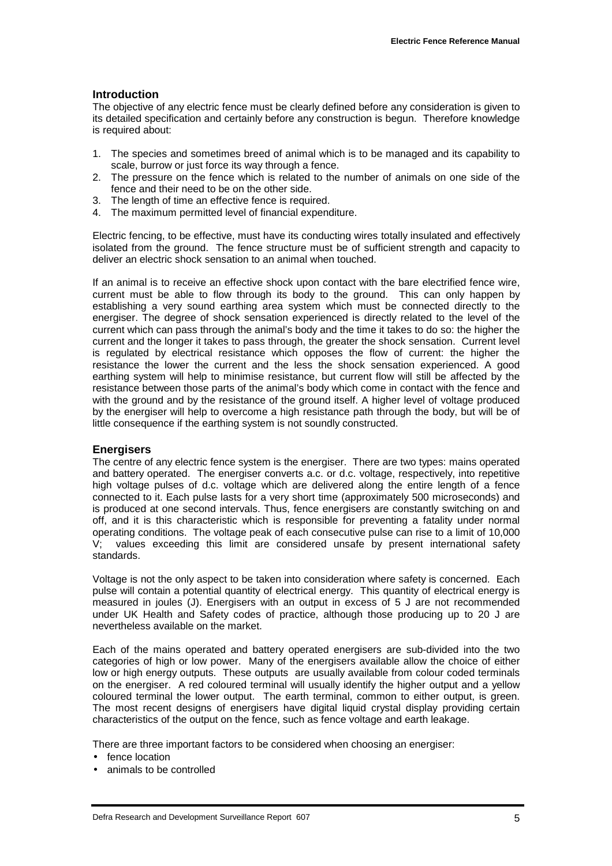#### **Introduction**

The objective of any electric fence must be clearly defined before any consideration is given to its detailed specification and certainly before any construction is begun. Therefore knowledge is required about:

- 1. The species and sometimes breed of animal which is to be managed and its capability to scale, burrow or just force its way through a fence.
- 2. The pressure on the fence which is related to the number of animals on one side of the fence and their need to be on the other side.
- 3. The length of time an effective fence is required.
- 4. The maximum permitted level of financial expenditure.

Electric fencing, to be effective, must have its conducting wires totally insulated and effectively isolated from the ground. The fence structure must be of sufficient strength and capacity to deliver an electric shock sensation to an animal when touched.

If an animal is to receive an effective shock upon contact with the bare electrified fence wire, current must be able to flow through its body to the ground. This can only happen by establishing a very sound earthing area system which must be connected directly to the energiser. The degree of shock sensation experienced is directly related to the level of the current which can pass through the animal's body and the time it takes to do so: the higher the current and the longer it takes to pass through, the greater the shock sensation. Current level is regulated by electrical resistance which opposes the flow of current: the higher the resistance the lower the current and the less the shock sensation experienced. A good earthing system will help to minimise resistance, but current flow will still be affected by the resistance between those parts of the animal's body which come in contact with the fence and with the ground and by the resistance of the ground itself. A higher level of voltage produced by the energiser will help to overcome a high resistance path through the body, but will be of little consequence if the earthing system is not soundly constructed.

#### **Energisers**

The centre of any electric fence system is the energiser. There are two types: mains operated and battery operated. The energiser converts a.c. or d.c. voltage, respectively, into repetitive high voltage pulses of d.c. voltage which are delivered along the entire length of a fence connected to it. Each pulse lasts for a very short time (approximately 500 microseconds) and is produced at one second intervals. Thus, fence energisers are constantly switching on and off, and it is this characteristic which is responsible for preventing a fatality under normal operating conditions. The voltage peak of each consecutive pulse can rise to a limit of 10,000 V; values exceeding this limit are considered unsafe by present international safety standards.

Voltage is not the only aspect to be taken into consideration where safety is concerned. Each pulse will contain a potential quantity of electrical energy. This quantity of electrical energy is measured in joules (J). Energisers with an output in excess of 5 J are not recommended under UK Health and Safety codes of practice, although those producing up to 20 J are nevertheless available on the market.

Each of the mains operated and battery operated energisers are sub-divided into the two categories of high or low power. Many of the energisers available allow the choice of either low or high energy outputs. These outputs are usually available from colour coded terminals on the energiser. A red coloured terminal will usually identify the higher output and a yellow coloured terminal the lower output. The earth terminal, common to either output, is green. The most recent designs of energisers have digital liquid crystal display providing certain characteristics of the output on the fence, such as fence voltage and earth leakage.

There are three important factors to be considered when choosing an energiser:

- fence location
- animals to be controlled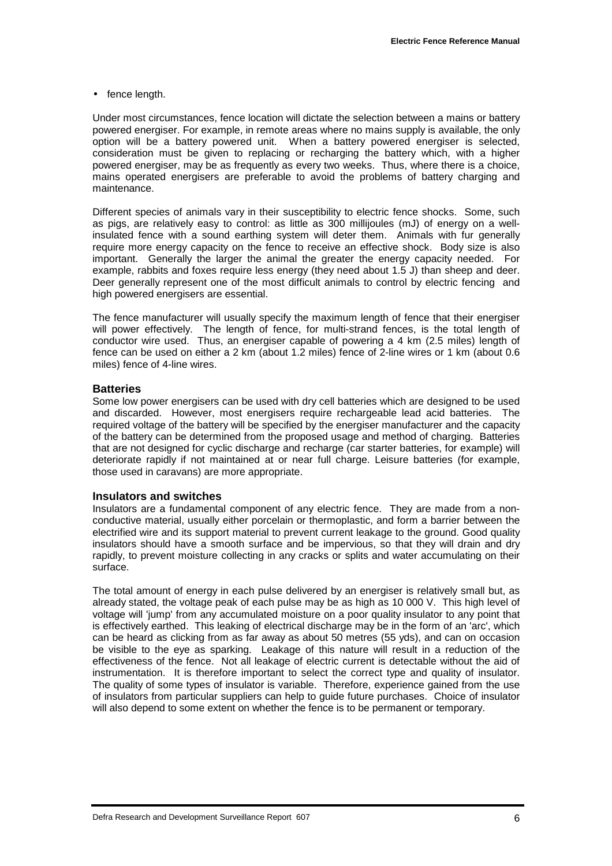• fence length.

Under most circumstances, fence location will dictate the selection between a mains or battery powered energiser. For example, in remote areas where no mains supply is available, the only option will be a battery powered unit. When a battery powered energiser is selected, consideration must be given to replacing or recharging the battery which, with a higher powered energiser, may be as frequently as every two weeks. Thus, where there is a choice, mains operated energisers are preferable to avoid the problems of battery charging and maintenance.

Different species of animals vary in their susceptibility to electric fence shocks. Some, such as pigs, are relatively easy to control: as little as 300 millijoules (mJ) of energy on a wellinsulated fence with a sound earthing system will deter them. Animals with fur generally require more energy capacity on the fence to receive an effective shock. Body size is also important. Generally the larger the animal the greater the energy capacity needed. For example, rabbits and foxes require less energy (they need about 1.5 J) than sheep and deer. Deer generally represent one of the most difficult animals to control by electric fencing and high powered energisers are essential.

The fence manufacturer will usually specify the maximum length of fence that their energiser will power effectively. The length of fence, for multi-strand fences, is the total length of conductor wire used. Thus, an energiser capable of powering a 4 km (2.5 miles) length of fence can be used on either a 2 km (about 1.2 miles) fence of 2-line wires or 1 km (about 0.6 miles) fence of 4-line wires.

#### **Batteries**

Some low power energisers can be used with dry cell batteries which are designed to be used and discarded. However, most energisers require rechargeable lead acid batteries. The required voltage of the battery will be specified by the energiser manufacturer and the capacity of the battery can be determined from the proposed usage and method of charging. Batteries that are not designed for cyclic discharge and recharge (car starter batteries, for example) will deteriorate rapidly if not maintained at or near full charge. Leisure batteries (for example, those used in caravans) are more appropriate.

#### **Insulators and switches**

Insulators are a fundamental component of any electric fence. They are made from a nonconductive material, usually either porcelain or thermoplastic, and form a barrier between the electrified wire and its support material to prevent current leakage to the ground. Good quality insulators should have a smooth surface and be impervious, so that they will drain and dry rapidly, to prevent moisture collecting in any cracks or splits and water accumulating on their surface.

The total amount of energy in each pulse delivered by an energiser is relatively small but, as already stated, the voltage peak of each pulse may be as high as 10 000 V. This high level of voltage will 'jump' from any accumulated moisture on a poor quality insulator to any point that is effectively earthed. This leaking of electrical discharge may be in the form of an 'arc', which can be heard as clicking from as far away as about 50 metres (55 yds), and can on occasion be visible to the eye as sparking. Leakage of this nature will result in a reduction of the effectiveness of the fence. Not all leakage of electric current is detectable without the aid of instrumentation. It is therefore important to select the correct type and quality of insulator. The quality of some types of insulator is variable. Therefore, experience gained from the use of insulators from particular suppliers can help to guide future purchases. Choice of insulator will also depend to some extent on whether the fence is to be permanent or temporary.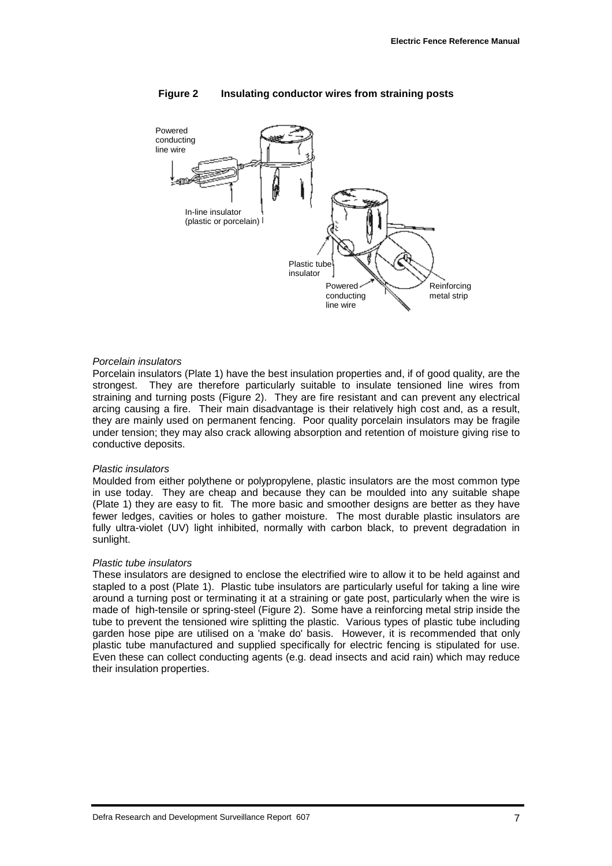

#### **Figure 2 Insulating conductor wires from straining posts**

#### *Porcelain insulators*

Porcelain insulators (Plate 1) have the best insulation properties and, if of good quality, are the strongest. They are therefore particularly suitable to insulate tensioned line wires from straining and turning posts (Figure 2). They are fire resistant and can prevent any electrical arcing causing a fire. Their main disadvantage is their relatively high cost and, as a result, they are mainly used on permanent fencing. Poor quality porcelain insulators may be fragile under tension; they may also crack allowing absorption and retention of moisture giving rise to conductive deposits.

#### *Plastic insulators*

Moulded from either polythene or polypropylene, plastic insulators are the most common type in use today. They are cheap and because they can be moulded into any suitable shape (Plate 1) they are easy to fit. The more basic and smoother designs are better as they have fewer ledges, cavities or holes to gather moisture. The most durable plastic insulators are fully ultra-violet (UV) light inhibited, normally with carbon black, to prevent degradation in sunlight.

#### *Plastic tube insulators*

These insulators are designed to enclose the electrified wire to allow it to be held against and stapled to a post (Plate 1). Plastic tube insulators are particularly useful for taking a line wire around a turning post or terminating it at a straining or gate post, particularly when the wire is made of high-tensile or spring-steel (Figure 2). Some have a reinforcing metal strip inside the tube to prevent the tensioned wire splitting the plastic. Various types of plastic tube including garden hose pipe are utilised on a 'make do' basis. However, it is recommended that only plastic tube manufactured and supplied specifically for electric fencing is stipulated for use. Even these can collect conducting agents (e.g. dead insects and acid rain) which may reduce their insulation properties.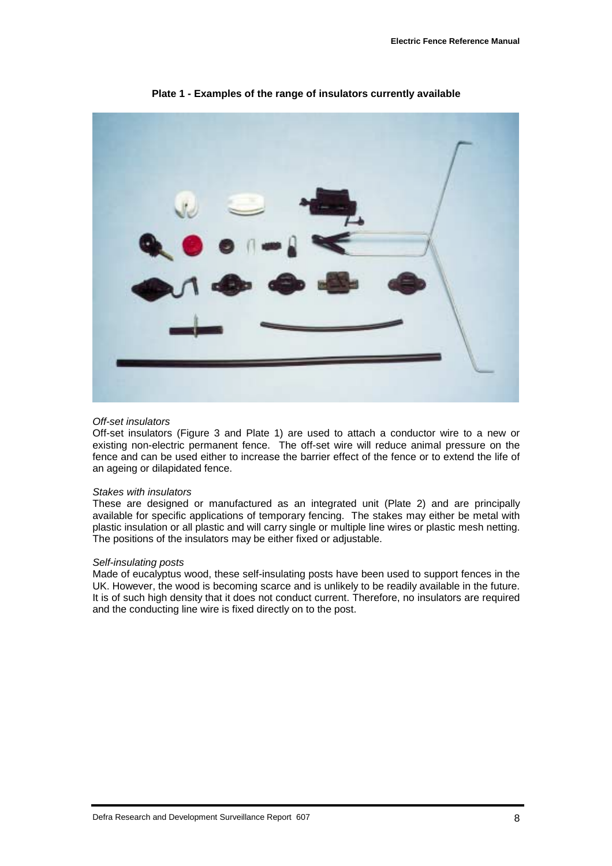

**Plate 1 - Examples of the range of insulators currently available**

#### *Off-set insulators*

Off-set insulators (Figure 3 and Plate 1) are used to attach a conductor wire to a new or existing non-electric permanent fence. The off-set wire will reduce animal pressure on the fence and can be used either to increase the barrier effect of the fence or to extend the life of an ageing or dilapidated fence.

#### *Stakes with insulators*

These are designed or manufactured as an integrated unit (Plate 2) and are principally available for specific applications of temporary fencing. The stakes may either be metal with plastic insulation or all plastic and will carry single or multiple line wires or plastic mesh netting. The positions of the insulators may be either fixed or adjustable.

#### *Self-insulating posts*

Made of eucalyptus wood, these self-insulating posts have been used to support fences in the UK. However, the wood is becoming scarce and is unlikely to be readily available in the future. It is of such high density that it does not conduct current. Therefore, no insulators are required and the conducting line wire is fixed directly on to the post.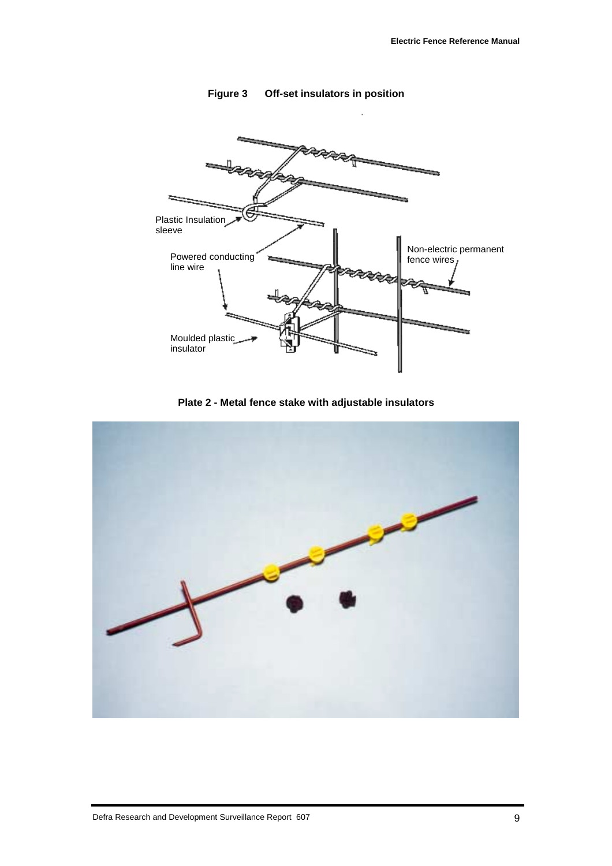

**Figure 3 Off-set insulators in position**

**Plate 2 - Metal fence stake with adjustable insulators**

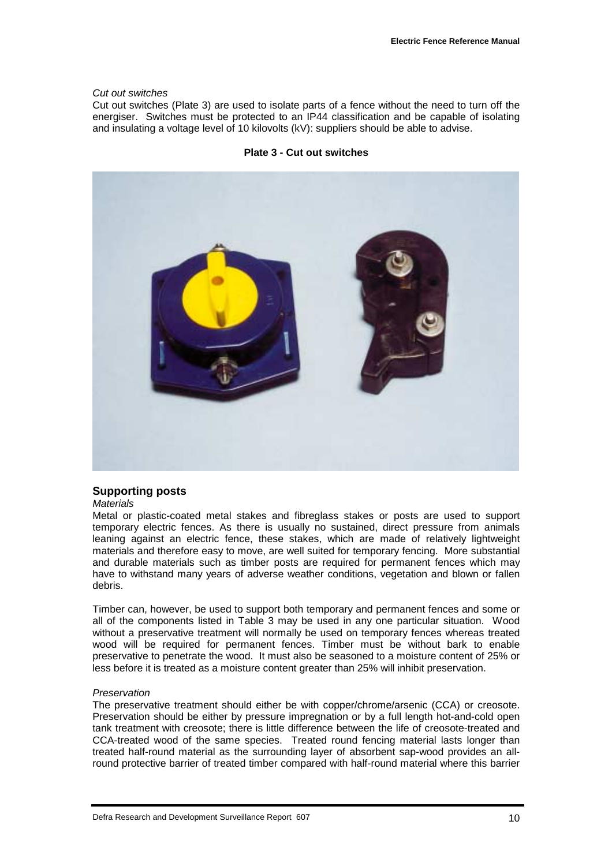#### *Cut out switches*

Cut out switches (Plate 3) are used to isolate parts of a fence without the need to turn off the energiser. Switches must be protected to an IP44 classification and be capable of isolating and insulating a voltage level of 10 kilovolts (kV): suppliers should be able to advise.





#### **Supporting posts**

#### *Materials*

Metal or plastic-coated metal stakes and fibreglass stakes or posts are used to support temporary electric fences. As there is usually no sustained, direct pressure from animals leaning against an electric fence, these stakes, which are made of relatively lightweight materials and therefore easy to move, are well suited for temporary fencing. More substantial and durable materials such as timber posts are required for permanent fences which may have to withstand many years of adverse weather conditions, vegetation and blown or fallen debris.

Timber can, however, be used to support both temporary and permanent fences and some or all of the components listed in Table 3 may be used in any one particular situation. Wood without a preservative treatment will normally be used on temporary fences whereas treated wood will be required for permanent fences. Timber must be without bark to enable preservative to penetrate the wood. It must also be seasoned to a moisture content of 25% or less before it is treated as a moisture content greater than 25% will inhibit preservation.

#### *Preservation*

The preservative treatment should either be with copper/chrome/arsenic (CCA) or creosote. Preservation should be either by pressure impregnation or by a full length hot-and-cold open tank treatment with creosote; there is little difference between the life of creosote-treated and CCA-treated wood of the same species. Treated round fencing material lasts longer than treated half-round material as the surrounding layer of absorbent sap-wood provides an allround protective barrier of treated timber compared with half-round material where this barrier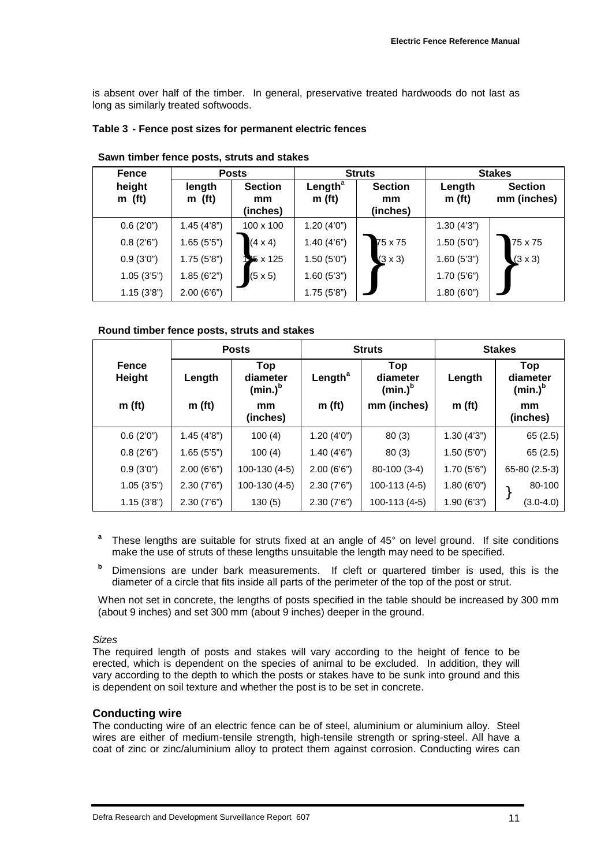is absent over half of the timber. In general, preservative treated hardwoods do not last as long as similarly treated softwoods.

#### **Table 3 - Fence post sizes for permanent electric fences**

| <b>Fence</b>       | <b>Posts</b>       |                                  | <b>Struts</b>                    |                                  | <b>Stakes</b>                |                               |
|--------------------|--------------------|----------------------------------|----------------------------------|----------------------------------|------------------------------|-------------------------------|
| height<br>$m$ (ft) | length<br>$m$ (ft) | <b>Section</b><br>mm<br>(inches) | Length $a$<br>m(f <sub>t</sub> ) | <b>Section</b><br>mm<br>(inches) | Length<br>m(f <sub>t</sub> ) | <b>Section</b><br>mm (inches) |
| 0.6(2'0")          | 1.45(4'8")         | $100 \times 100$                 | 1.20(4'0")                       |                                  | 1.30(4'3")                   |                               |
| 0.8(2'6")          | 1.65(5'5")         | $(4 \times 4)$                   | 1.40(4'6")                       | 75 x 75                          | 1.50(5'0")                   | 75 x 75                       |
| 0.9(3'0")          | 1.75(5'8")         | <b>NS x 125</b>                  | 1.50(5'0")                       | $(3 \times 3)$                   | 1.60(5'3")                   | $(3 \times 3)$                |
| 1.05(3'5")         | 1.85(6'2")         | $(5 \times 5)$                   | 1.60(5'3")                       |                                  | 1.70(5'6")                   |                               |
| 1.15(3'8")         | 2.00(6'6")         |                                  | 1.75(5'8")                       |                                  | 1.80(6'0")                   |                               |

#### **Sawn timber fence posts, struts and stakes**

#### **Round timber fence posts, struts and stakes**

|                               |                    | <b>Posts</b>                         | <b>Struts</b>       |                               | <b>Stakes</b>      |                               |
|-------------------------------|--------------------|--------------------------------------|---------------------|-------------------------------|--------------------|-------------------------------|
| <b>Fence</b><br><b>Height</b> | Length             | <b>Top</b><br>diameter<br>$(min.)^b$ | Length <sup>a</sup> | Top<br>diameter<br>$(min.)^b$ | Length             | Top<br>diameter<br>$(min.)^b$ |
| m(f <sub>t</sub> )            | m(f <sub>t</sub> ) | mm<br>(inches)                       | m(f <sub>t</sub> )  | mm (inches)                   | m(f <sub>t</sub> ) | mm<br>(inches)                |
| 0.6(2'0")                     | 1.45(4'8")         | 100(4)                               | 1.20(4'0")          | 80(3)                         | 1.30(4'3")         | 65(2.5)                       |
| 0.8(2'6")                     | 1.65(5'5")         | 100(4)                               | 1.40(4'6")          | 80(3)                         | 1.50(5'0")         | 65(2.5)                       |
| 0.9(3'0")                     | 2.00(6'6")         | 100-130 (4-5)                        | 2.00(6'6")          | 80-100 (3-4)                  | 1.70(5'6")         | 65-80 (2.5-3)                 |
| 1.05(3'5")                    | 2.30(7'6")         | 100-130 (4-5)                        | 2.30(7'6")          | 100-113 (4-5)                 | 1.80(6'0")         | 80-100                        |
| 1.15(3'8")                    | 2.30(7'6")         | 130(5)                               | 2.30(7'6")          | 100-113 (4-5)                 | 1.90(6'3")         | $(3.0 - 4.0)$                 |

- **<sup>a</sup>** These lengths are suitable for struts fixed at an angle of 45° on level ground. If site conditions make the use of struts of these lengths unsuitable the length may need to be specified.
- **<sup>b</sup>** Dimensions are under bark measurements. If cleft or quartered timber is used, this is the diameter of a circle that fits inside all parts of the perimeter of the top of the post or strut.

When not set in concrete, the lengths of posts specified in the table should be increased by 300 mm (about 9 inches) and set 300 mm (about 9 inches) deeper in the ground.

#### *Sizes*

The required length of posts and stakes will vary according to the height of fence to be erected, which is dependent on the species of animal to be excluded. In addition, they will vary according to the depth to which the posts or stakes have to be sunk into ground and this is dependent on soil texture and whether the post is to be set in concrete.

#### **Conducting wire**

The conducting wire of an electric fence can be of steel, aluminium or aluminium alloy. Steel wires are either of medium-tensile strength, high-tensile strength or spring-steel. All have a coat of zinc or zinc/aluminium alloy to protect them against corrosion. Conducting wires can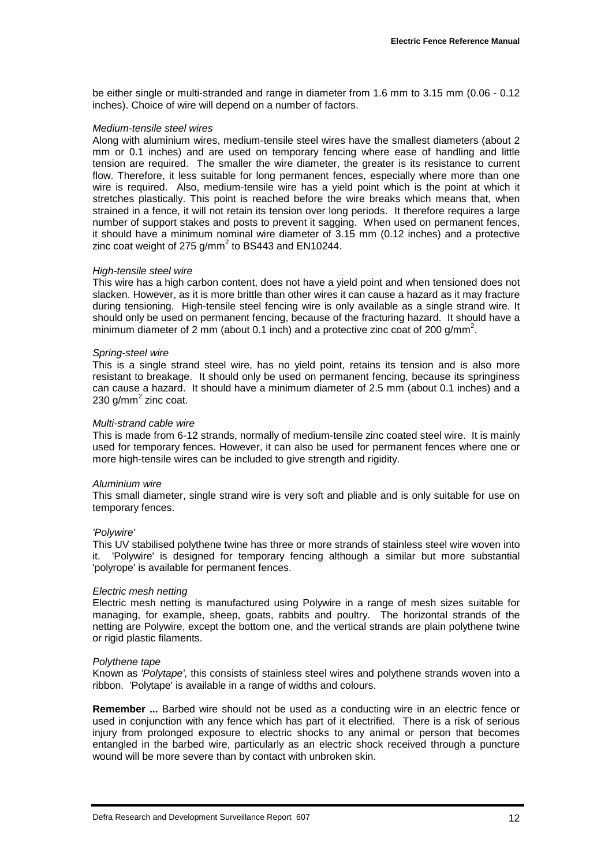be either single or multi-stranded and range in diameter from 1.6 mm to 3.15 mm (0.06 - 0.12 inches). Choice of wire will depend on a number of factors.

#### *Medium-tensile steel wires*

Along with aluminium wires, medium-tensile steel wires have the smallest diameters (about 2 mm or 0.1 inches) and are used on temporary fencing where ease of handling and little tension are required. The smaller the wire diameter, the greater is its resistance to current flow. Therefore, it less suitable for long permanent fences, especially where more than one wire is required. Also, medium-tensile wire has a yield point which is the point at which it stretches plastically. This point is reached before the wire breaks which means that, when strained in a fence, it will not retain its tension over long periods. It therefore requires a large number of support stakes and posts to prevent it sagging. When used on permanent fences, it should have a minimum nominal wire diameter of 3.15 mm (0.12 inches) and a protective zinc coat weight of 275 g/mm $^2$  to BS443 and EN10244.

#### *High-tensile steel wire*

This wire has a high carbon content, does not have a yield point and when tensioned does not slacken. However, as it is more brittle than other wires it can cause a hazard as it may fracture during tensioning. High-tensile steel fencing wire is only available as a single strand wire. It should only be used on permanent fencing, because of the fracturing hazard. It should have a minimum diameter of 2 mm (about 0.1 inch) and a protective zinc coat of 200 g/mm<sup>2</sup>.

#### *Spring-steel wire*

This is a single strand steel wire, has no yield point, retains its tension and is also more resistant to breakage. It should only be used on permanent fencing, because its springiness can cause a hazard. It should have a minimum diameter of 2.5 mm (about 0.1 inches) and a 230 g/mm $^2$  zinc coat.

#### *Multi-strand cable wire*

This is made from 6-12 strands, normally of medium-tensile zinc coated steel wire. It is mainly used for temporary fences. However, it can also be used for permanent fences where one or more high-tensile wires can be included to give strength and rigidity.

#### *Aluminium wire*

This small diameter, single strand wire is very soft and pliable and is only suitable for use on temporary fences.

#### *'Polywire'*

This UV stabilised polythene twine has three or more strands of stainless steel wire woven into it. 'Polywire' is designed for temporary fencing although a similar but more substantial 'polyrope' is available for permanent fences.

#### *Electric mesh netting*

Electric mesh netting is manufactured using Polywire in a range of mesh sizes suitable for managing, for example, sheep, goats, rabbits and poultry. The horizontal strands of the netting are Polywire, except the bottom one, and the vertical strands are plain polythene twine or rigid plastic filaments.

#### *Polythene tape*

Known as *'Polytape',* this consists of stainless steel wires and polythene strands woven into a ribbon. 'Polytape' is available in a range of widths and colours.

**Remember ...** Barbed wire should not be used as a conducting wire in an electric fence or used in conjunction with any fence which has part of it electrified. There is a risk of serious injury from prolonged exposure to electric shocks to any animal or person that becomes entangled in the barbed wire, particularly as an electric shock received through a puncture wound will be more severe than by contact with unbroken skin.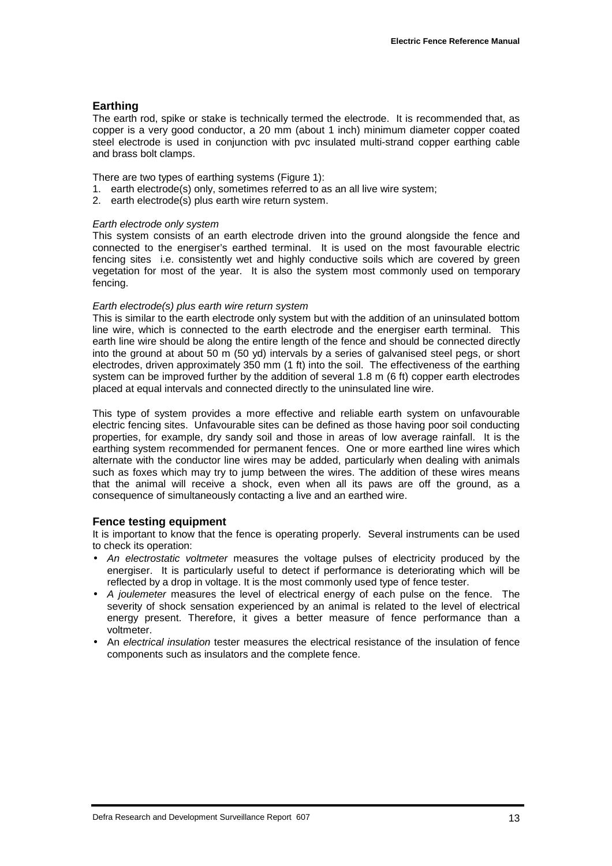#### **Earthing**

The earth rod, spike or stake is technically termed the electrode. It is recommended that, as copper is a very good conductor, a 20 mm (about 1 inch) minimum diameter copper coated steel electrode is used in conjunction with pvc insulated multi-strand copper earthing cable and brass bolt clamps.

There are two types of earthing systems (Figure 1):

- 1. earth electrode(s) only, sometimes referred to as an all live wire system;
- 2. earth electrode(s) plus earth wire return system.

#### *Earth electrode only system*

This system consists of an earth electrode driven into the ground alongside the fence and connected to the energiser's earthed terminal. It is used on the most favourable electric fencing sites i.e. consistently wet and highly conductive soils which are covered by green vegetation for most of the year. It is also the system most commonly used on temporary fencing.

#### *Earth electrode(s) plus earth wire return system*

This is similar to the earth electrode only system but with the addition of an uninsulated bottom line wire, which is connected to the earth electrode and the energiser earth terminal. This earth line wire should be along the entire length of the fence and should be connected directly into the ground at about 50 m (50 yd) intervals by a series of galvanised steel pegs, or short electrodes, driven approximately 350 mm (1 ft) into the soil. The effectiveness of the earthing system can be improved further by the addition of several 1.8 m (6 ft) copper earth electrodes placed at equal intervals and connected directly to the uninsulated line wire.

This type of system provides a more effective and reliable earth system on unfavourable electric fencing sites. Unfavourable sites can be defined as those having poor soil conducting properties, for example, dry sandy soil and those in areas of low average rainfall. It is the earthing system recommended for permanent fences. One or more earthed line wires which alternate with the conductor line wires may be added, particularly when dealing with animals such as foxes which may try to jump between the wires. The addition of these wires means that the animal will receive a shock, even when all its paws are off the ground, as a consequence of simultaneously contacting a live and an earthed wire.

#### **Fence testing equipment**

It is important to know that the fence is operating properly. Several instruments can be used to check its operation:

- *An electrostatic voltmeter* measures the voltage pulses of electricity produced by the energiser. It is particularly useful to detect if performance is deteriorating which will be reflected by a drop in voltage. It is the most commonly used type of fence tester.
- *A joulemeter* measures the level of electrical energy of each pulse on the fence. The severity of shock sensation experienced by an animal is related to the level of electrical energy present. Therefore, it gives a better measure of fence performance than a voltmeter.
- An *electrical insulation* tester measures the electrical resistance of the insulation of fence components such as insulators and the complete fence.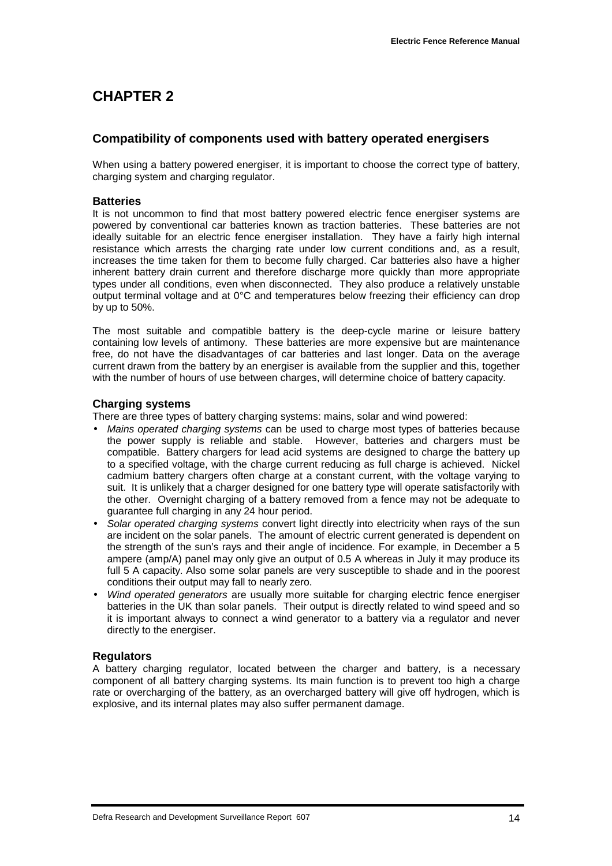## **CHAPTER 2**

#### **Compatibility of components used with battery operated energisers**

When using a battery powered energiser, it is important to choose the correct type of battery, charging system and charging regulator.

#### **Batteries**

It is not uncommon to find that most battery powered electric fence energiser systems are powered by conventional car batteries known as traction batteries. These batteries are not ideally suitable for an electric fence energiser installation. They have a fairly high internal resistance which arrests the charging rate under low current conditions and, as a result, increases the time taken for them to become fully charged. Car batteries also have a higher inherent battery drain current and therefore discharge more quickly than more appropriate types under all conditions, even when disconnected. They also produce a relatively unstable output terminal voltage and at 0°C and temperatures below freezing their efficiency can drop by up to 50%.

The most suitable and compatible battery is the deep-cycle marine or leisure battery containing low levels of antimony. These batteries are more expensive but are maintenance free, do not have the disadvantages of car batteries and last longer. Data on the average current drawn from the battery by an energiser is available from the supplier and this, together with the number of hours of use between charges, will determine choice of battery capacity.

#### **Charging systems**

There are three types of battery charging systems: mains, solar and wind powered:

- *Mains operated charging systems* can be used to charge most types of batteries because the power supply is reliable and stable. However, batteries and chargers must be compatible. Battery chargers for lead acid systems are designed to charge the battery up to a specified voltage, with the charge current reducing as full charge is achieved. Nickel cadmium battery chargers often charge at a constant current, with the voltage varying to suit. It is unlikely that a charger designed for one battery type will operate satisfactorily with the other. Overnight charging of a battery removed from a fence may not be adequate to guarantee full charging in any 24 hour period.
- *Solar operated charging systems* convert light directly into electricity when rays of the sun are incident on the solar panels. The amount of electric current generated is dependent on the strength of the sun's rays and their angle of incidence. For example, in December a 5 ampere (amp/A) panel may only give an output of 0.5 A whereas in July it may produce its full 5 A capacity. Also some solar panels are very susceptible to shade and in the poorest conditions their output may fall to nearly zero.
- *Wind operated generators* are usually more suitable for charging electric fence energiser batteries in the UK than solar panels. Their output is directly related to wind speed and so it is important always to connect a wind generator to a battery via a regulator and never directly to the energiser.

#### **Regulators**

A battery charging regulator, located between the charger and battery, is a necessary component of all battery charging systems. Its main function is to prevent too high a charge rate or overcharging of the battery, as an overcharged battery will give off hydrogen, which is explosive, and its internal plates may also suffer permanent damage.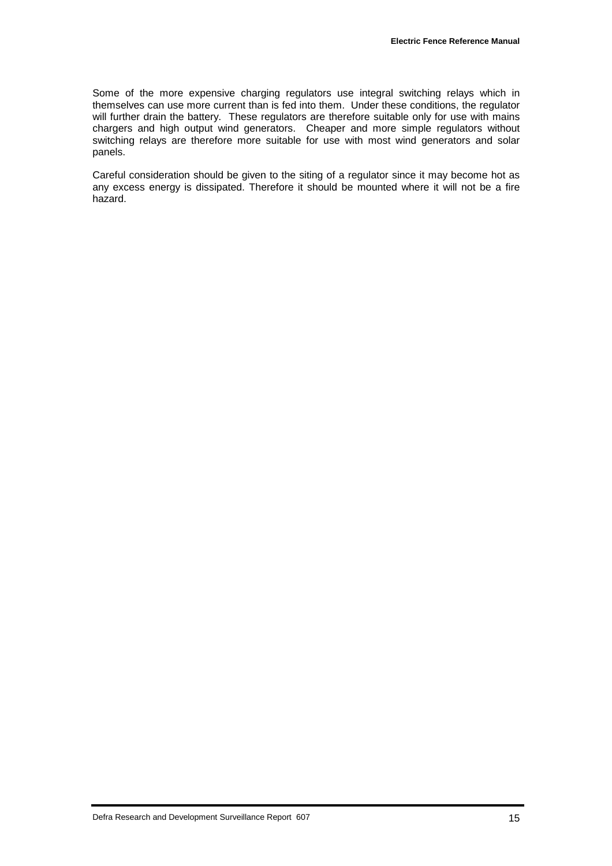Some of the more expensive charging regulators use integral switching relays which in themselves can use more current than is fed into them. Under these conditions, the regulator will further drain the battery. These regulators are therefore suitable only for use with mains chargers and high output wind generators. Cheaper and more simple regulators without switching relays are therefore more suitable for use with most wind generators and solar panels.

Careful consideration should be given to the siting of a regulator since it may become hot as any excess energy is dissipated. Therefore it should be mounted where it will not be a fire hazard.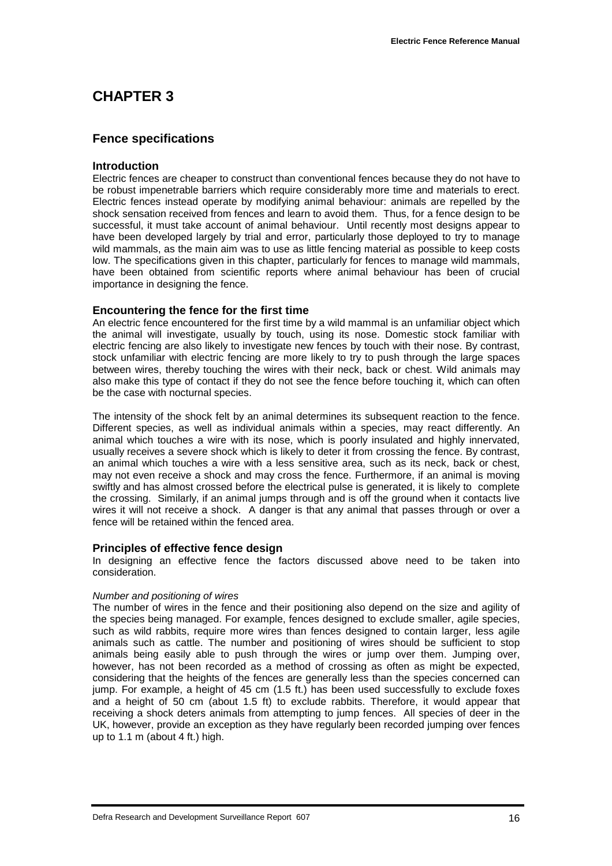## **CHAPTER 3**

#### **Fence specifications**

#### **Introduction**

Electric fences are cheaper to construct than conventional fences because they do not have to be robust impenetrable barriers which require considerably more time and materials to erect. Electric fences instead operate by modifying animal behaviour: animals are repelled by the shock sensation received from fences and learn to avoid them. Thus, for a fence design to be successful, it must take account of animal behaviour. Until recently most designs appear to have been developed largely by trial and error, particularly those deployed to try to manage wild mammals, as the main aim was to use as little fencing material as possible to keep costs low. The specifications given in this chapter, particularly for fences to manage wild mammals, have been obtained from scientific reports where animal behaviour has been of crucial importance in designing the fence.

#### **Encountering the fence for the first time**

An electric fence encountered for the first time by a wild mammal is an unfamiliar object which the animal will investigate, usually by touch, using its nose. Domestic stock familiar with electric fencing are also likely to investigate new fences by touch with their nose. By contrast, stock unfamiliar with electric fencing are more likely to try to push through the large spaces between wires, thereby touching the wires with their neck, back or chest. Wild animals may also make this type of contact if they do not see the fence before touching it, which can often be the case with nocturnal species.

The intensity of the shock felt by an animal determines its subsequent reaction to the fence. Different species, as well as individual animals within a species, may react differently. An animal which touches a wire with its nose, which is poorly insulated and highly innervated, usually receives a severe shock which is likely to deter it from crossing the fence. By contrast, an animal which touches a wire with a less sensitive area, such as its neck, back or chest, may not even receive a shock and may cross the fence. Furthermore, if an animal is moving swiftly and has almost crossed before the electrical pulse is generated, it is likely to complete the crossing. Similarly, if an animal jumps through and is off the ground when it contacts live wires it will not receive a shock. A danger is that any animal that passes through or over a fence will be retained within the fenced area.

#### **Principles of effective fence design**

In designing an effective fence the factors discussed above need to be taken into consideration.

#### *Number and positioning of wires*

The number of wires in the fence and their positioning also depend on the size and agility of the species being managed. For example, fences designed to exclude smaller, agile species, such as wild rabbits, require more wires than fences designed to contain larger, less agile animals such as cattle. The number and positioning of wires should be sufficient to stop animals being easily able to push through the wires or jump over them. Jumping over, however, has not been recorded as a method of crossing as often as might be expected, considering that the heights of the fences are generally less than the species concerned can jump. For example, a height of 45 cm (1.5 ft.) has been used successfully to exclude foxes and a height of 50 cm (about 1.5 ft) to exclude rabbits. Therefore, it would appear that receiving a shock deters animals from attempting to jump fences. All species of deer in the UK, however, provide an exception as they have regularly been recorded jumping over fences up to 1.1 m (about 4 ft.) high.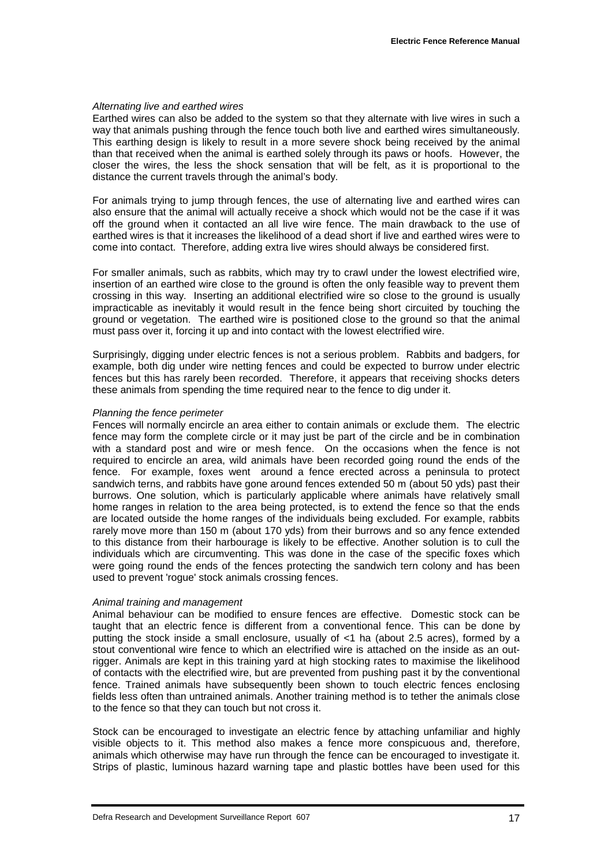#### *Alternating live and earthed wires*

Earthed wires can also be added to the system so that they alternate with live wires in such a way that animals pushing through the fence touch both live and earthed wires simultaneously. This earthing design is likely to result in a more severe shock being received by the animal than that received when the animal is earthed solely through its paws or hoofs. However, the closer the wires, the less the shock sensation that will be felt, as it is proportional to the distance the current travels through the animal's body.

For animals trying to jump through fences, the use of alternating live and earthed wires can also ensure that the animal will actually receive a shock which would not be the case if it was off the ground when it contacted an all live wire fence. The main drawback to the use of earthed wires is that it increases the likelihood of a dead short if live and earthed wires were to come into contact. Therefore, adding extra live wires should always be considered first.

For smaller animals, such as rabbits, which may try to crawl under the lowest electrified wire, insertion of an earthed wire close to the ground is often the only feasible way to prevent them crossing in this way. Inserting an additional electrified wire so close to the ground is usually impracticable as inevitably it would result in the fence being short circuited by touching the ground or vegetation. The earthed wire is positioned close to the ground so that the animal must pass over it, forcing it up and into contact with the lowest electrified wire.

Surprisingly, digging under electric fences is not a serious problem. Rabbits and badgers, for example, both dig under wire netting fences and could be expected to burrow under electric fences but this has rarely been recorded. Therefore, it appears that receiving shocks deters these animals from spending the time required near to the fence to dig under it.

#### *Planning the fence perimeter*

Fences will normally encircle an area either to contain animals or exclude them. The electric fence may form the complete circle or it may just be part of the circle and be in combination with a standard post and wire or mesh fence. On the occasions when the fence is not required to encircle an area, wild animals have been recorded going round the ends of the fence. For example, foxes went around a fence erected across a peninsula to protect sandwich terns, and rabbits have gone around fences extended 50 m (about 50 yds) past their burrows. One solution, which is particularly applicable where animals have relatively small home ranges in relation to the area being protected, is to extend the fence so that the ends are located outside the home ranges of the individuals being excluded. For example, rabbits rarely move more than 150 m (about 170 yds) from their burrows and so any fence extended to this distance from their harbourage is likely to be effective. Another solution is to cull the individuals which are circumventing. This was done in the case of the specific foxes which were going round the ends of the fences protecting the sandwich tern colony and has been used to prevent 'rogue' stock animals crossing fences.

#### *Animal training and management*

Animal behaviour can be modified to ensure fences are effective. Domestic stock can be taught that an electric fence is different from a conventional fence. This can be done by putting the stock inside a small enclosure, usually of <1 ha (about 2.5 acres), formed by a stout conventional wire fence to which an electrified wire is attached on the inside as an outrigger. Animals are kept in this training yard at high stocking rates to maximise the likelihood of contacts with the electrified wire, but are prevented from pushing past it by the conventional fence. Trained animals have subsequently been shown to touch electric fences enclosing fields less often than untrained animals. Another training method is to tether the animals close to the fence so that they can touch but not cross it.

Stock can be encouraged to investigate an electric fence by attaching unfamiliar and highly visible objects to it. This method also makes a fence more conspicuous and, therefore, animals which otherwise may have run through the fence can be encouraged to investigate it. Strips of plastic, luminous hazard warning tape and plastic bottles have been used for this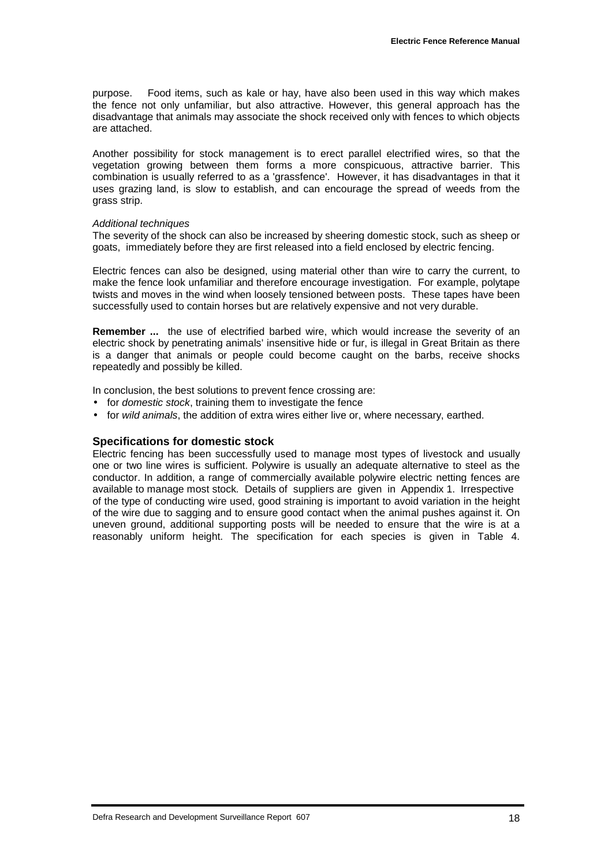purpose. Food items, such as kale or hay, have also been used in this way which makes the fence not only unfamiliar, but also attractive. However, this general approach has the disadvantage that animals may associate the shock received only with fences to which objects are attached.

Another possibility for stock management is to erect parallel electrified wires, so that the vegetation growing between them forms a more conspicuous, attractive barrier. This combination is usually referred to as a 'grassfence'. However, it has disadvantages in that it uses grazing land, is slow to establish, and can encourage the spread of weeds from the grass strip.

#### *Additional techniques*

The severity of the shock can also be increased by sheering domestic stock, such as sheep or goats, immediately before they are first released into a field enclosed by electric fencing.

Electric fences can also be designed, using material other than wire to carry the current, to make the fence look unfamiliar and therefore encourage investigation. For example, polytape twists and moves in the wind when loosely tensioned between posts. These tapes have been successfully used to contain horses but are relatively expensive and not very durable.

**Remember ...** the use of electrified barbed wire, which would increase the severity of an electric shock by penetrating animals' insensitive hide or fur, is illegal in Great Britain as there is a danger that animals or people could become caught on the barbs, receive shocks repeatedly and possibly be killed.

In conclusion, the best solutions to prevent fence crossing are:

- for *domestic stock*, training them to investigate the fence
- for *wild animals*, the addition of extra wires either live or, where necessary, earthed.

#### **Specifications for domestic stock**

Electric fencing has been successfully used to manage most types of livestock and usually one or two line wires is sufficient. Polywire is usually an adequate alternative to steel as the conductor. In addition, a range of commercially available polywire electric netting fences are available to manage most stock*.* Details of suppliers are given in Appendix 1. Irrespective of the type of conducting wire used, good straining is important to avoid variation in the height of the wire due to sagging and to ensure good contact when the animal pushes against it. On uneven ground, additional supporting posts will be needed to ensure that the wire is at a reasonably uniform height. The specification for each species is given in Table 4.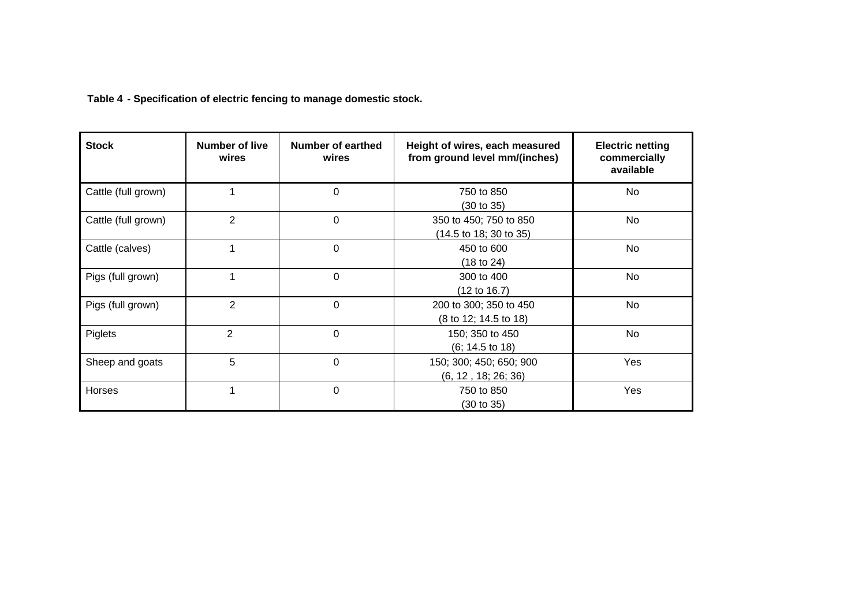**Table 4 - Specification of electric fencing to manage domestic stock.**

| <b>Stock</b>        | Number of live<br>wires | Number of earthed<br>wires | Height of wires, each measured<br>from ground level mm/(inches) | <b>Electric netting</b><br>commercially<br>available |
|---------------------|-------------------------|----------------------------|-----------------------------------------------------------------|------------------------------------------------------|
| Cattle (full grown) | 1                       | $\Omega$                   | 750 to 850<br>(30 to 35)                                        | No                                                   |
| Cattle (full grown) | $\overline{2}$          | $\Omega$                   | 350 to 450; 750 to 850<br>(14.5 to 18; 30 to 35)                | No                                                   |
| Cattle (calves)     | 1                       | 0                          | 450 to 600<br>(18 to 24)                                        | No.                                                  |
| Pigs (full grown)   | 1                       | $\Omega$                   | 300 to 400<br>$(12 \text{ to } 16.7)$                           | No                                                   |
| Pigs (full grown)   | $\overline{2}$          | 0                          | 200 to 300; 350 to 450<br>(8 to 12; 14.5 to 18)                 | No                                                   |
| Piglets             | $\overline{2}$          | $\Omega$                   | 150; 350 to 450<br>(6; 14.5t) 18)                               | No.                                                  |
| Sheep and goats     | 5                       | $\Omega$                   | 150; 300; 450; 650; 900<br>(6, 12, 18, 26, 36)                  | Yes                                                  |
| Horses              | 1                       | 0                          | 750 to 850<br>(30 to 35)                                        | Yes                                                  |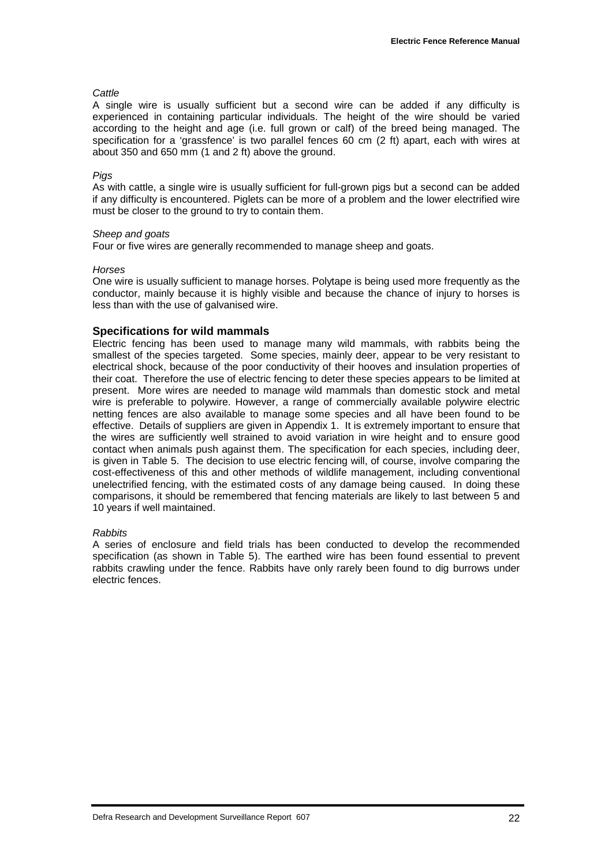#### *Cattle*

A single wire is usually sufficient but a second wire can be added if any difficulty is experienced in containing particular individuals. The height of the wire should be varied according to the height and age (i.e. full grown or calf) of the breed being managed. The specification for a 'grassfence' is two parallel fences 60 cm (2 ft) apart, each with wires at about 350 and 650 mm (1 and 2 ft) above the ground.

#### *Pigs*

As with cattle, a single wire is usually sufficient for full-grown pigs but a second can be added if any difficulty is encountered. Piglets can be more of a problem and the lower electrified wire must be closer to the ground to try to contain them.

#### *Sheep and goats*

Four or five wires are generally recommended to manage sheep and goats.

#### *Horses*

One wire is usually sufficient to manage horses. Polytape is being used more frequently as the conductor, mainly because it is highly visible and because the chance of injury to horses is less than with the use of galvanised wire.

#### **Specifications for wild mammals**

Electric fencing has been used to manage many wild mammals, with rabbits being the smallest of the species targeted. Some species, mainly deer, appear to be very resistant to electrical shock, because of the poor conductivity of their hooves and insulation properties of their coat. Therefore the use of electric fencing to deter these species appears to be limited at present. More wires are needed to manage wild mammals than domestic stock and metal wire is preferable to polywire. However, a range of commercially available polywire electric netting fences are also available to manage some species and all have been found to be effective. Details of suppliers are given in Appendix 1. It is extremely important to ensure that the wires are sufficiently well strained to avoid variation in wire height and to ensure good contact when animals push against them. The specification for each species, including deer, is given in Table 5. The decision to use electric fencing will, of course, involve comparing the cost-effectiveness of this and other methods of wildlife management, including conventional unelectrified fencing, with the estimated costs of any damage being caused. In doing these comparisons, it should be remembered that fencing materials are likely to last between 5 and 10 years if well maintained.

#### *Rabbits*

A series of enclosure and field trials has been conducted to develop the recommended specification (as shown in Table 5). The earthed wire has been found essential to prevent rabbits crawling under the fence. Rabbits have only rarely been found to dig burrows under electric fences.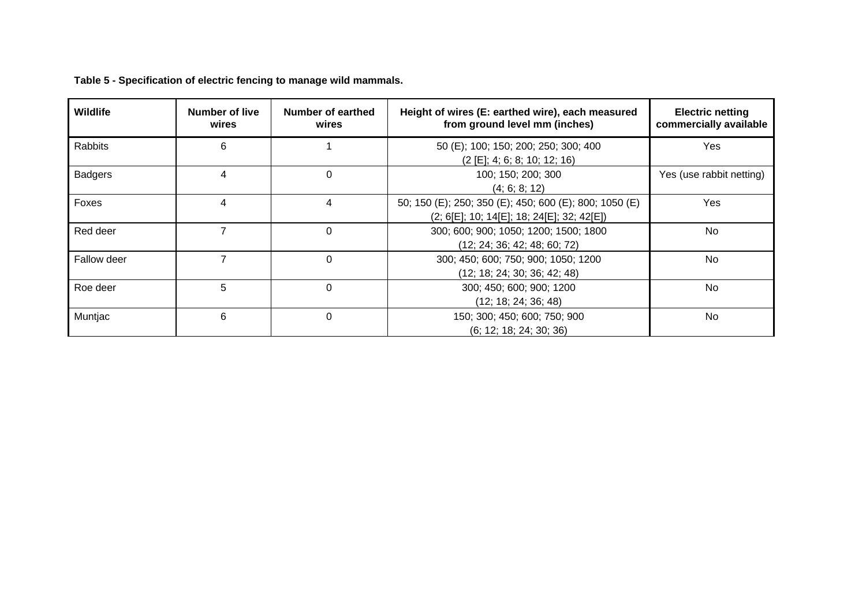| <b>Wildlife</b> | Number of live<br>wires | Number of earthed<br>wires | Height of wires (E: earthed wire), each measured<br>from ground level mm (inches)                      | <b>Electric netting</b><br>commercially available |
|-----------------|-------------------------|----------------------------|--------------------------------------------------------------------------------------------------------|---------------------------------------------------|
| <b>Rabbits</b>  | 6                       |                            | 50 (E); 100; 150; 200; 250; 300; 400<br>(2 [E]; 4; 6; 8; 10; 12; 16)                                   | Yes                                               |
| <b>Badgers</b>  | $\overline{4}$          | $\Omega$                   | 100; 150; 200; 300<br>(4; 6; 8; 12)                                                                    | Yes (use rabbit netting)                          |
| Foxes           | 4                       | 4                          | 50; 150 (E); 250; 350 (E); 450; 600 (E); 800; 1050 (E)<br>$(2; 6[E]; 10; 14[E]; 18; 24[E]; 32; 42[E])$ | <b>Yes</b>                                        |
| Red deer        |                         | $\Omega$                   | 300; 600; 900; 1050; 1200; 1500; 1800<br>(12; 24; 36; 42; 48; 60; 72)                                  | <b>No</b>                                         |
| Fallow deer     | 7                       | $\Omega$                   | 300; 450; 600; 750; 900; 1050; 1200<br>(12; 18; 24; 30; 36; 42; 48)                                    | No.                                               |
| Roe deer        | 5                       | $\Omega$                   | 300; 450; 600; 900; 1200<br>(12; 18; 24; 36; 48)                                                       | <b>No</b>                                         |
| Muntjac         | 6                       | $\Omega$                   | 150; 300; 450; 600; 750; 900<br>(6; 12; 18; 24; 30; 36)                                                | No.                                               |

**Table 5 - Specification of electric fencing to manage wild mammals.**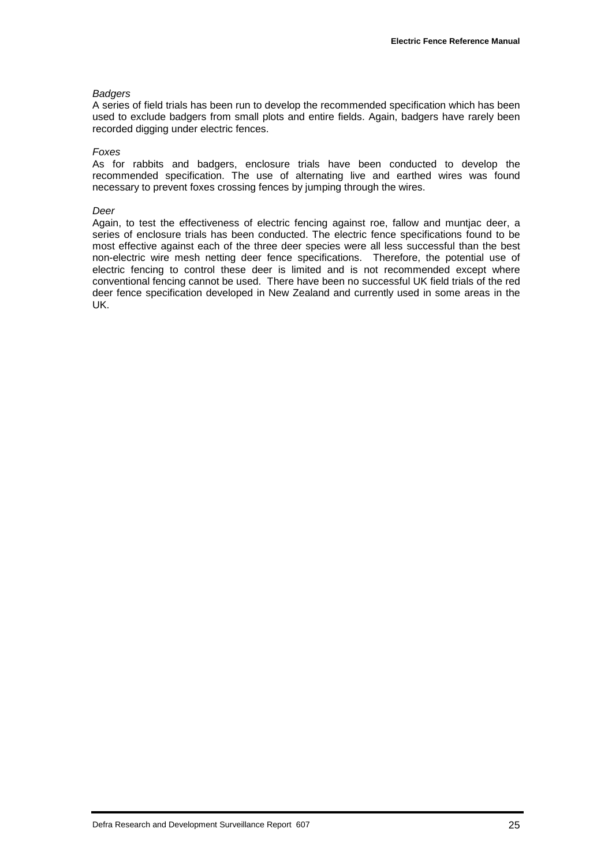#### *Badgers*

A series of field trials has been run to develop the recommended specification which has been used to exclude badgers from small plots and entire fields. Again, badgers have rarely been recorded digging under electric fences.

#### *Foxes*

As for rabbits and badgers, enclosure trials have been conducted to develop the recommended specification. The use of alternating live and earthed wires was found necessary to prevent foxes crossing fences by jumping through the wires.

#### *Deer*

Again, to test the effectiveness of electric fencing against roe, fallow and muntjac deer, a series of enclosure trials has been conducted. The electric fence specifications found to be most effective against each of the three deer species were all less successful than the best non-electric wire mesh netting deer fence specifications. Therefore, the potential use of electric fencing to control these deer is limited and is not recommended except where conventional fencing cannot be used. There have been no successful UK field trials of the red deer fence specification developed in New Zealand and currently used in some areas in the UK.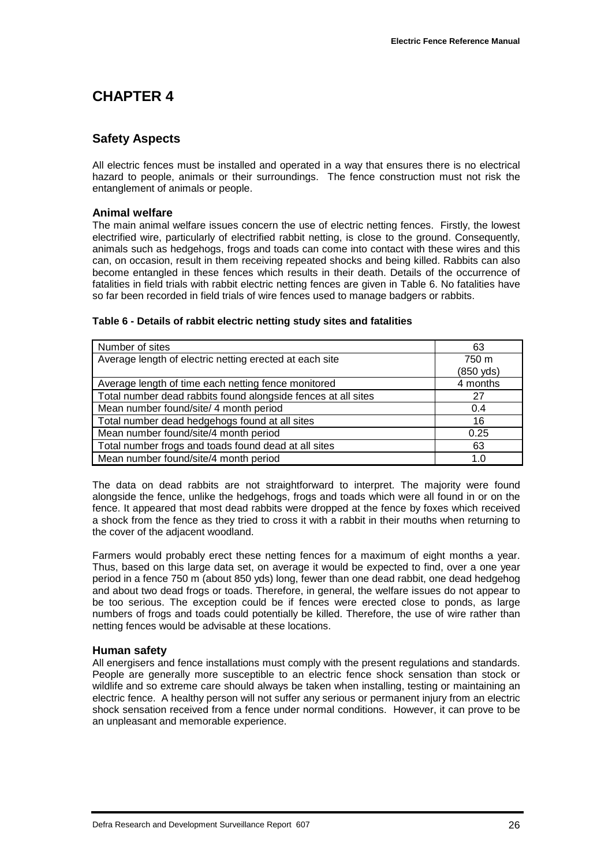## **CHAPTER 4**

#### **Safety Aspects**

All electric fences must be installed and operated in a way that ensures there is no electrical hazard to people, animals or their surroundings. The fence construction must not risk the entanglement of animals or people.

#### **Animal welfare**

The main animal welfare issues concern the use of electric netting fences. Firstly, the lowest electrified wire, particularly of electrified rabbit netting, is close to the ground. Consequently, animals such as hedgehogs, frogs and toads can come into contact with these wires and this can, on occasion, result in them receiving repeated shocks and being killed. Rabbits can also become entangled in these fences which results in their death. Details of the occurrence of fatalities in field trials with rabbit electric netting fences are given in Table 6. No fatalities have so far been recorded in field trials of wire fences used to manage badgers or rabbits.

| Number of sites                                               | 63        |
|---------------------------------------------------------------|-----------|
| Average length of electric netting erected at each site       | 750 m     |
|                                                               | (850 yds) |
| Average length of time each netting fence monitored           | 4 months  |
| Total number dead rabbits found alongside fences at all sites | 27        |
| Mean number found/site/ 4 month period                        | 0.4       |
| Total number dead hedgehogs found at all sites                | 16        |
| Mean number found/site/4 month period                         | 0.25      |
| Total number frogs and toads found dead at all sites          | 63        |
| Mean number found/site/4 month period                         | 1.0       |

#### **Table 6 - Details of rabbit electric netting study sites and fatalities**

The data on dead rabbits are not straightforward to interpret. The majority were found alongside the fence, unlike the hedgehogs, frogs and toads which were all found in or on the fence. It appeared that most dead rabbits were dropped at the fence by foxes which received a shock from the fence as they tried to cross it with a rabbit in their mouths when returning to the cover of the adjacent woodland.

Farmers would probably erect these netting fences for a maximum of eight months a year. Thus, based on this large data set, on average it would be expected to find, over a one year period in a fence 750 m (about 850 yds) long, fewer than one dead rabbit, one dead hedgehog and about two dead frogs or toads. Therefore, in general, the welfare issues do not appear to be too serious. The exception could be if fences were erected close to ponds, as large numbers of frogs and toads could potentially be killed. Therefore, the use of wire rather than netting fences would be advisable at these locations.

#### **Human safety**

All energisers and fence installations must comply with the present regulations and standards. People are generally more susceptible to an electric fence shock sensation than stock or wildlife and so extreme care should always be taken when installing, testing or maintaining an electric fence. A healthy person will not suffer any serious or permanent injury from an electric shock sensation received from a fence under normal conditions. However, it can prove to be an unpleasant and memorable experience.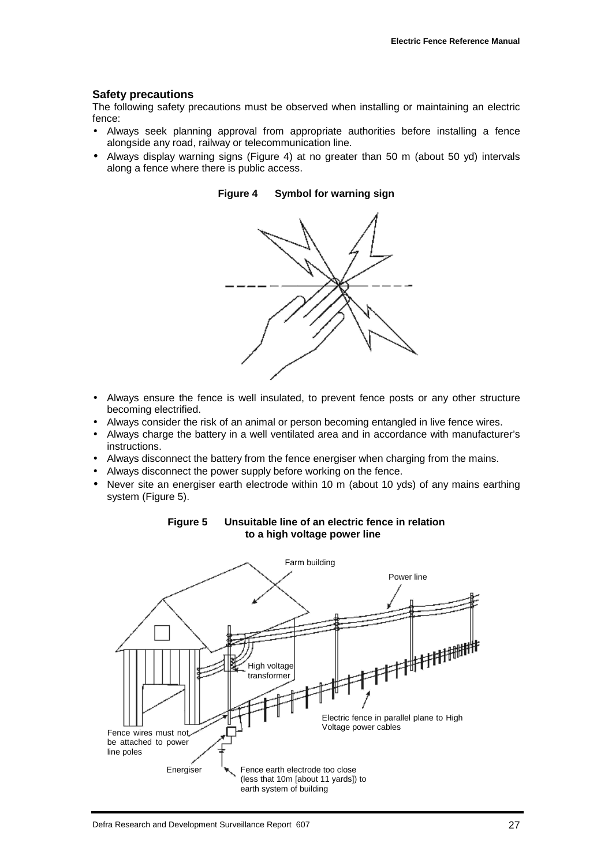#### **Safety precautions**

The following safety precautions must be observed when installing or maintaining an electric fence:

- Always seek planning approval from appropriate authorities before installing a fence alongside any road, railway or telecommunication line.
- Always display warning signs (Figure 4) at no greater than 50 m (about 50 yd) intervals along a fence where there is public access.



**Figure 4 Symbol for warning sign**

- Always ensure the fence is well insulated, to prevent fence posts or any other structure becoming electrified.
- Always consider the risk of an animal or person becoming entangled in live fence wires.
- Always charge the battery in a well ventilated area and in accordance with manufacturer's instructions.
- Always disconnect the battery from the fence energiser when charging from the mains.
- Always disconnect the power supply before working on the fence.
- Never site an energiser earth electrode within 10 m (about 10 yds) of any mains earthing system (Figure 5).



#### **Figure 5 Unsuitable line of an electric fence in relation to a high voltage power line**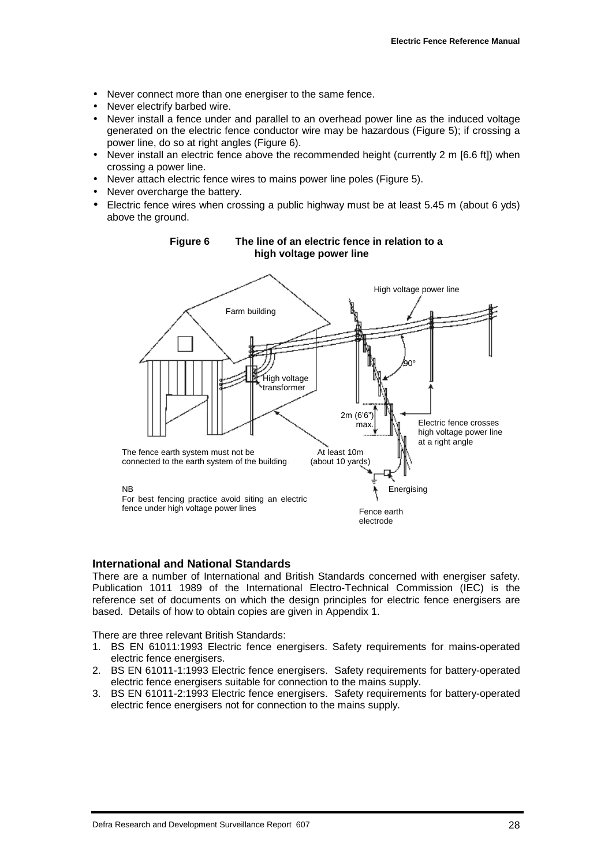- Never connect more than one energiser to the same fence.
- Never electrify barbed wire.
- Never install a fence under and parallel to an overhead power line as the induced voltage generated on the electric fence conductor wire may be hazardous (Figure 5); if crossing a power line, do so at right angles (Figure 6).
- Never install an electric fence above the recommended height (currently 2 m [6.6 ft]) when crossing a power line.
- Never attach electric fence wires to mains power line poles (Figure 5).
- Never overcharge the battery.
- Electric fence wires when crossing a public highway must be at least 5.45 m (about 6 yds) above the ground.



#### **Figure 6 The line of an electric fence in relation to a high voltage power line**

#### **International and National Standards**

There are a number of International and British Standards concerned with energiser safety. Publication 1011 1989 of the International Electro-Technical Commission (IEC) is the reference set of documents on which the design principles for electric fence energisers are based. Details of how to obtain copies are given in Appendix 1.

There are three relevant British Standards:

- 1. BS EN 61011:1993 Electric fence energisers. Safety requirements for mains-operated electric fence energisers.
- 2. BS EN 61011-1:1993 Electric fence energisers. Safety requirements for battery-operated electric fence energisers suitable for connection to the mains supply.
- 3. BS EN 61011-2:1993 Electric fence energisers. Safety requirements for battery-operated electric fence energisers not for connection to the mains supply.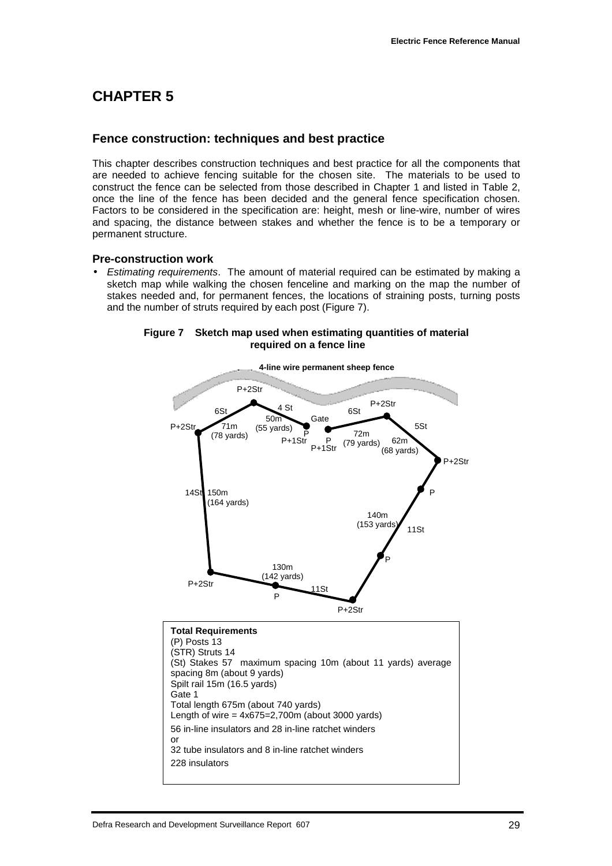## **CHAPTER 5**

#### **Fence construction: techniques and best practice**

This chapter describes construction techniques and best practice for all the components that are needed to achieve fencing suitable for the chosen site. The materials to be used to construct the fence can be selected from those described in Chapter 1 and listed in Table 2, once the line of the fence has been decided and the general fence specification chosen. Factors to be considered in the specification are: height, mesh or line-wire, number of wires and spacing, the distance between stakes and whether the fence is to be a temporary or permanent structure.

#### **Pre-construction work**

• *Estimating requirements*. The amount of material required can be estimated by making a sketch map while walking the chosen fenceline and marking on the map the number of stakes needed and, for permanent fences, the locations of straining posts, turning posts and the number of struts required by each post (Figure 7).

#### **Figure 7 Sketch map used when estimating quantities of material required on a fence line**



228 insulators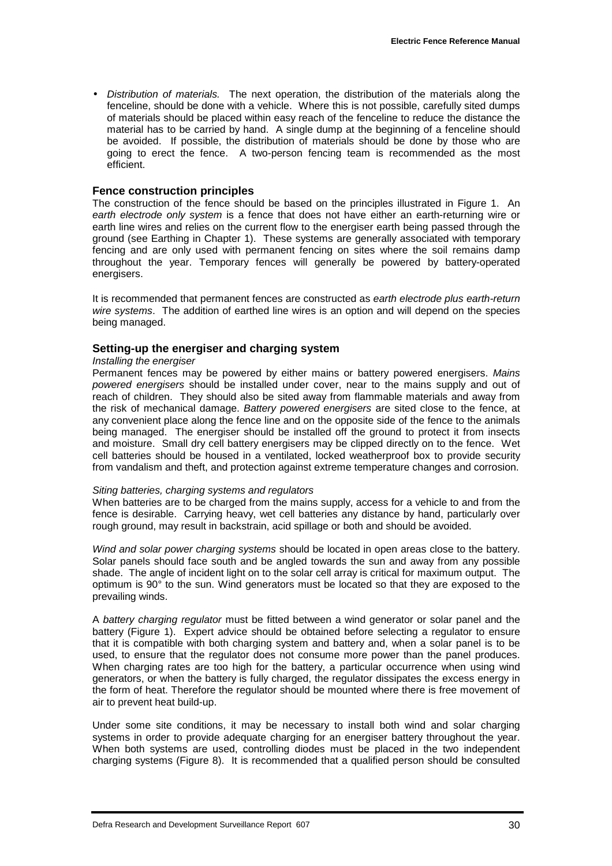• *Distribution of materials.* The next operation, the distribution of the materials along the fenceline, should be done with a vehicle. Where this is not possible, carefully sited dumps of materials should be placed within easy reach of the fenceline to reduce the distance the material has to be carried by hand. A single dump at the beginning of a fenceline should be avoided. If possible, the distribution of materials should be done by those who are going to erect the fence. A two-person fencing team is recommended as the most efficient.

#### **Fence construction principles**

The construction of the fence should be based on the principles illustrated in Figure 1. An *earth electrode only system* is a fence that does not have either an earth-returning wire or earth line wires and relies on the current flow to the energiser earth being passed through the ground (see Earthing in Chapter 1). These systems are generally associated with temporary fencing and are only used with permanent fencing on sites where the soil remains damp throughout the year. Temporary fences will generally be powered by battery-operated energisers.

It is recommended that permanent fences are constructed as *earth electrode plus earth-return wire systems*. The addition of earthed line wires is an option and will depend on the species being managed.

#### **Setting-up the energiser and charging system**

#### *Installing the energiser*

Permanent fences may be powered by either mains or battery powered energisers. *Mains powered energisers* should be installed under cover, near to the mains supply and out of reach of children. They should also be sited away from flammable materials and away from the risk of mechanical damage. *Battery powered energisers* are sited close to the fence, at any convenient place along the fence line and on the opposite side of the fence to the animals being managed. The energiser should be installed off the ground to protect it from insects and moisture. Small dry cell battery energisers may be clipped directly on to the fence. Wet cell batteries should be housed in a ventilated, locked weatherproof box to provide security from vandalism and theft, and protection against extreme temperature changes and corrosion.

#### *Siting batteries, charging systems and regulators*

When batteries are to be charged from the mains supply, access for a vehicle to and from the fence is desirable. Carrying heavy, wet cell batteries any distance by hand, particularly over rough ground, may result in backstrain, acid spillage or both and should be avoided.

*Wind and solar power charging systems* should be located in open areas close to the battery. Solar panels should face south and be angled towards the sun and away from any possible shade. The angle of incident light on to the solar cell array is critical for maximum output. The optimum is 90° to the sun. Wind generators must be located so that they are exposed to the prevailing winds.

A *battery charging regulator* must be fitted between a wind generator or solar panel and the battery (Figure 1). Expert advice should be obtained before selecting a regulator to ensure that it is compatible with both charging system and battery and, when a solar panel is to be used, to ensure that the regulator does not consume more power than the panel produces. When charging rates are too high for the battery, a particular occurrence when using wind generators, or when the battery is fully charged, the regulator dissipates the excess energy in the form of heat. Therefore the regulator should be mounted where there is free movement of air to prevent heat build-up.

Under some site conditions, it may be necessary to install both wind and solar charging systems in order to provide adequate charging for an energiser battery throughout the year. When both systems are used, controlling diodes must be placed in the two independent charging systems (Figure 8). It is recommended that a qualified person should be consulted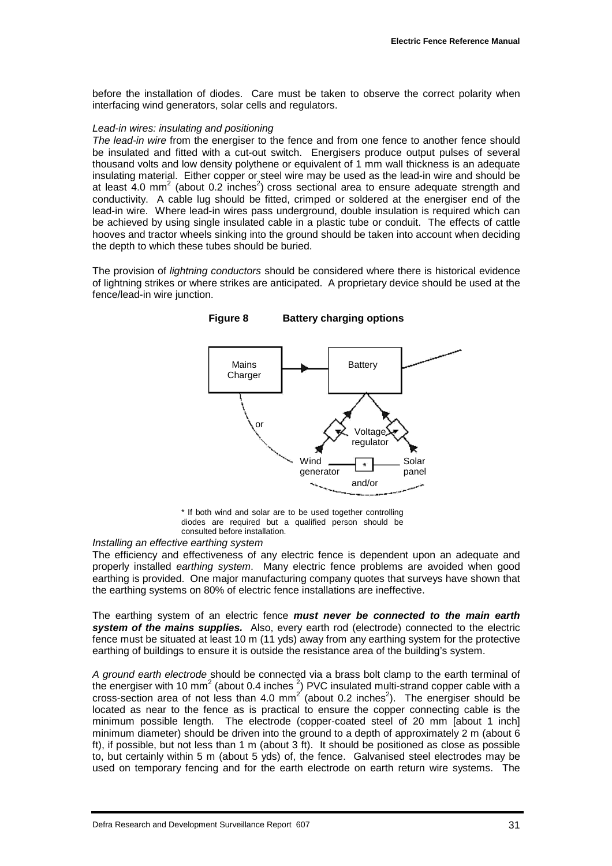before the installation of diodes. Care must be taken to observe the correct polarity when interfacing wind generators, solar cells and regulators.

#### *Lead-in wires: insulating and positioning*

*The lead-in wire* from the energiser to the fence and from one fence to another fence should be insulated and fitted with a cut-out switch. Energisers produce output pulses of several thousand volts and low density polythene or equivalent of 1 mm wall thickness is an adequate insulating material. Either copper or steel wire may be used as the lead-in wire and should be at least 4.0 mm<sup>2</sup> (about 0.2 inches<sup>2</sup>) cross sectional area to ensure adequate strength and conductivity. A cable lug should be fitted, crimped or soldered at the energiser end of the lead-in wire. Where lead-in wires pass underground, double insulation is required which can be achieved by using single insulated cable in a plastic tube or conduit. The effects of cattle hooves and tractor wheels sinking into the ground should be taken into account when deciding the depth to which these tubes should be buried.

The provision of *lightning conductors* should be considered where there is historical evidence of lightning strikes or where strikes are anticipated. A proprietary device should be used at the fence/lead-in wire junction.

**Figure 8 Battery charging options**



\* If both wind and solar are to be used together controlling diodes are required but a qualified person should be consulted before installation.

#### *Installing an effective earthing system*

The efficiency and effectiveness of any electric fence is dependent upon an adequate and properly installed *earthing system*. Many electric fence problems are avoided when good earthing is provided. One major manufacturing company quotes that surveys have shown that the earthing systems on 80% of electric fence installations are ineffective.

The earthing system of an electric fence *must never be connected to the main earth system of the mains supplies.* Also, every earth rod (electrode) connected to the electric fence must be situated at least 10 m (11 yds) away from any earthing system for the protective earthing of buildings to ensure it is outside the resistance area of the building's system.

*A ground earth electrode* should be connected via a brass bolt clamp to the earth terminal of the energiser with 10 mm<sup>2</sup> (about 0.4 inches  $^2$ ) PVC insulated multi-strand copper cable with a cross-section area of not less than 4.0 mm<sup>2</sup> (about 0.2 inches<sup>2</sup>). The energiser should be located as near to the fence as is practical to ensure the copper connecting cable is the minimum possible length. The electrode (copper-coated steel of 20 mm [about 1 inch] minimum diameter) should be driven into the ground to a depth of approximately 2 m (about 6 ft), if possible, but not less than 1 m (about 3 ft). It should be positioned as close as possible to, but certainly within 5 m (about 5 yds) of, the fence. Galvanised steel electrodes may be used on temporary fencing and for the earth electrode on earth return wire systems. The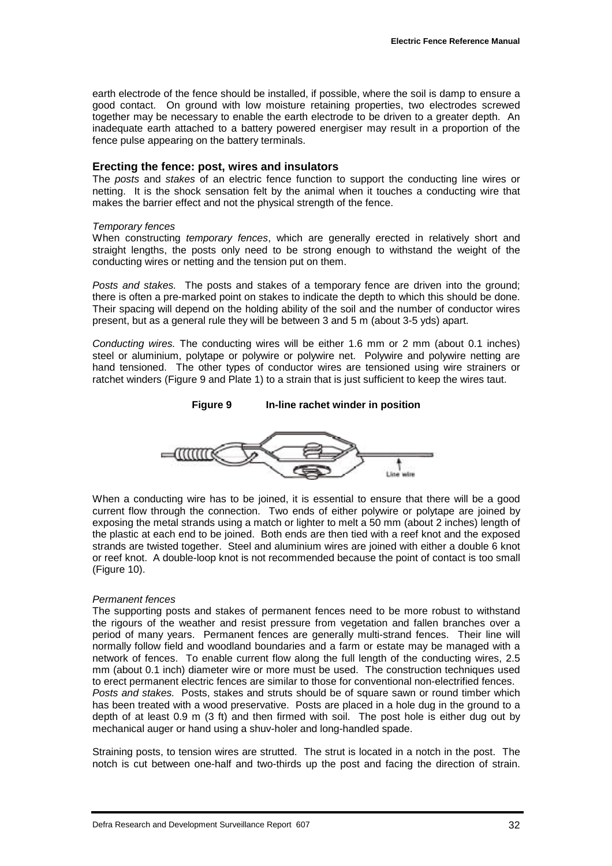earth electrode of the fence should be installed, if possible, where the soil is damp to ensure a good contact. On ground with low moisture retaining properties, two electrodes screwed together may be necessary to enable the earth electrode to be driven to a greater depth. An inadequate earth attached to a battery powered energiser may result in a proportion of the fence pulse appearing on the battery terminals.

#### **Erecting the fence: post, wires and insulators**

The *posts* and *stakes* of an electric fence function to support the conducting line wires or netting. It is the shock sensation felt by the animal when it touches a conducting wire that makes the barrier effect and not the physical strength of the fence.

#### *Temporary fences*

When constructing *temporary fences*, which are generally erected in relatively short and straight lengths, the posts only need to be strong enough to withstand the weight of the conducting wires or netting and the tension put on them.

*Posts and stakes.* The posts and stakes of a temporary fence are driven into the ground; there is often a pre-marked point on stakes to indicate the depth to which this should be done. Their spacing will depend on the holding ability of the soil and the number of conductor wires present, but as a general rule they will be between 3 and 5 m (about 3-5 yds) apart.

*Conducting wires.* The conducting wires will be either 1.6 mm or 2 mm (about 0.1 inches) steel or aluminium, polytape or polywire or polywire net. Polywire and polywire netting are hand tensioned. The other types of conductor wires are tensioned using wire strainers or ratchet winders (Figure 9 and Plate 1) to a strain that is just sufficient to keep the wires taut.



When a conducting wire has to be joined, it is essential to ensure that there will be a good current flow through the connection. Two ends of either polywire or polytape are joined by exposing the metal strands using a match or lighter to melt a 50 mm (about 2 inches) length of the plastic at each end to be joined. Both ends are then tied with a reef knot and the exposed strands are twisted together. Steel and aluminium wires are joined with either a double 6 knot or reef knot. A double-loop knot is not recommended because the point of contact is too small (Figure 10).

#### *Permanent fences*

The supporting posts and stakes of permanent fences need to be more robust to withstand the rigours of the weather and resist pressure from vegetation and fallen branches over a period of many years. Permanent fences are generally multi-strand fences. Their line will normally follow field and woodland boundaries and a farm or estate may be managed with a network of fences. To enable current flow along the full length of the conducting wires, 2.5 mm (about 0.1 inch) diameter wire or more must be used. The construction techniques used to erect permanent electric fences are similar to those for conventional non-electrified fences. *Posts and stakes.* Posts, stakes and struts should be of square sawn or round timber which has been treated with a wood preservative. Posts are placed in a hole dug in the ground to a depth of at least 0.9 m (3 ft) and then firmed with soil. The post hole is either dug out by mechanical auger or hand using a shuv-holer and long-handled spade.

Straining posts, to tension wires are strutted. The strut is located in a notch in the post. The notch is cut between one-half and two-thirds up the post and facing the direction of strain.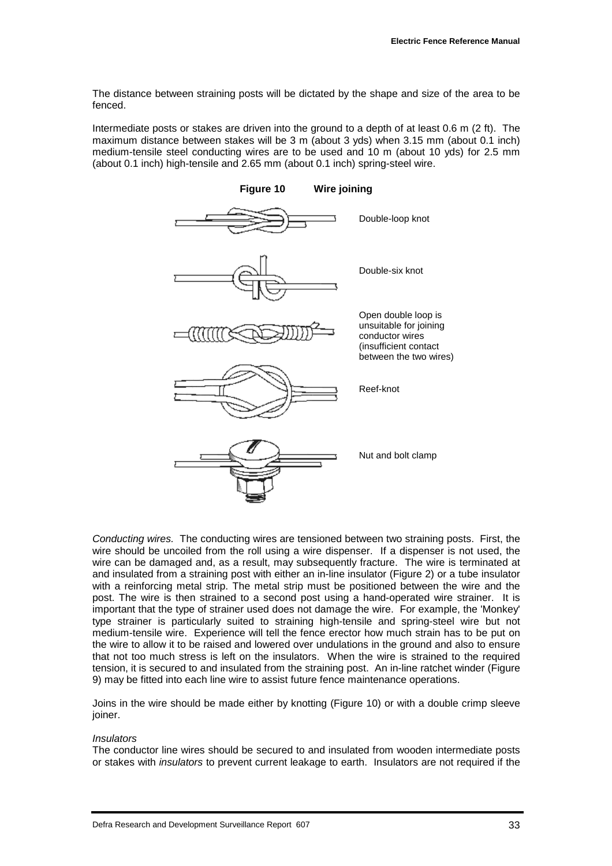The distance between straining posts will be dictated by the shape and size of the area to be fenced.

Intermediate posts or stakes are driven into the ground to a depth of at least 0.6 m (2 ft). The maximum distance between stakes will be 3 m (about 3 yds) when 3.15 mm (about 0.1 inch) medium-tensile steel conducting wires are to be used and 10 m (about 10 yds) for 2.5 mm (about 0.1 inch) high-tensile and 2.65 mm (about 0.1 inch) spring-steel wire.



*Conducting wires.* The conducting wires are tensioned between two straining posts. First, the wire should be uncoiled from the roll using a wire dispenser. If a dispenser is not used, the wire can be damaged and, as a result, may subsequently fracture. The wire is terminated at and insulated from a straining post with either an in-line insulator (Figure 2) or a tube insulator with a reinforcing metal strip. The metal strip must be positioned between the wire and the post. The wire is then strained to a second post using a hand-operated wire strainer. It is important that the type of strainer used does not damage the wire. For example, the 'Monkey' type strainer is particularly suited to straining high-tensile and spring-steel wire but not medium-tensile wire. Experience will tell the fence erector how much strain has to be put on the wire to allow it to be raised and lowered over undulations in the ground and also to ensure that not too much stress is left on the insulators. When the wire is strained to the required tension, it is secured to and insulated from the straining post. An in-line ratchet winder (Figure 9) may be fitted into each line wire to assist future fence maintenance operations.

Joins in the wire should be made either by knotting (Figure 10) or with a double crimp sleeve joiner.

#### *Insulators*

The conductor line wires should be secured to and insulated from wooden intermediate posts or stakes with *insulators* to prevent current leakage to earth. Insulators are not required if the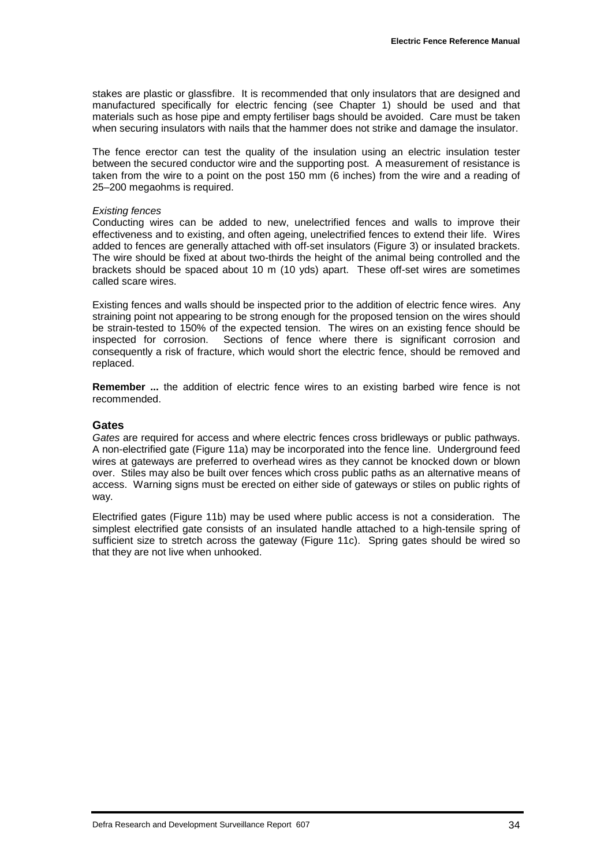stakes are plastic or glassfibre. It is recommended that only insulators that are designed and manufactured specifically for electric fencing (see Chapter 1) should be used and that materials such as hose pipe and empty fertiliser bags should be avoided. Care must be taken when securing insulators with nails that the hammer does not strike and damage the insulator.

The fence erector can test the quality of the insulation using an electric insulation tester between the secured conductor wire and the supporting post. A measurement of resistance is taken from the wire to a point on the post 150 mm (6 inches) from the wire and a reading of 25–200 megaohms is required.

#### *Existing fences*

Conducting wires can be added to new, unelectrified fences and walls to improve their effectiveness and to existing, and often ageing, unelectrified fences to extend their life. Wires added to fences are generally attached with off-set insulators (Figure 3) or insulated brackets. The wire should be fixed at about two-thirds the height of the animal being controlled and the brackets should be spaced about 10 m (10 yds) apart. These off-set wires are sometimes called scare wires.

Existing fences and walls should be inspected prior to the addition of electric fence wires. Any straining point not appearing to be strong enough for the proposed tension on the wires should be strain-tested to 150% of the expected tension. The wires on an existing fence should be inspected for corrosion. Sections of fence where there is significant corrosion and consequently a risk of fracture, which would short the electric fence, should be removed and replaced.

**Remember ...** the addition of electric fence wires to an existing barbed wire fence is not recommended.

#### **Gates**

*Gates* are required for access and where electric fences cross bridleways or public pathways. A non-electrified gate (Figure 11a) may be incorporated into the fence line. Underground feed wires at gateways are preferred to overhead wires as they cannot be knocked down or blown over. Stiles may also be built over fences which cross public paths as an alternative means of access. Warning signs must be erected on either side of gateways or stiles on public rights of way.

Electrified gates (Figure 11b) may be used where public access is not a consideration. The simplest electrified gate consists of an insulated handle attached to a high-tensile spring of sufficient size to stretch across the gateway (Figure 11c). Spring gates should be wired so that they are not live when unhooked.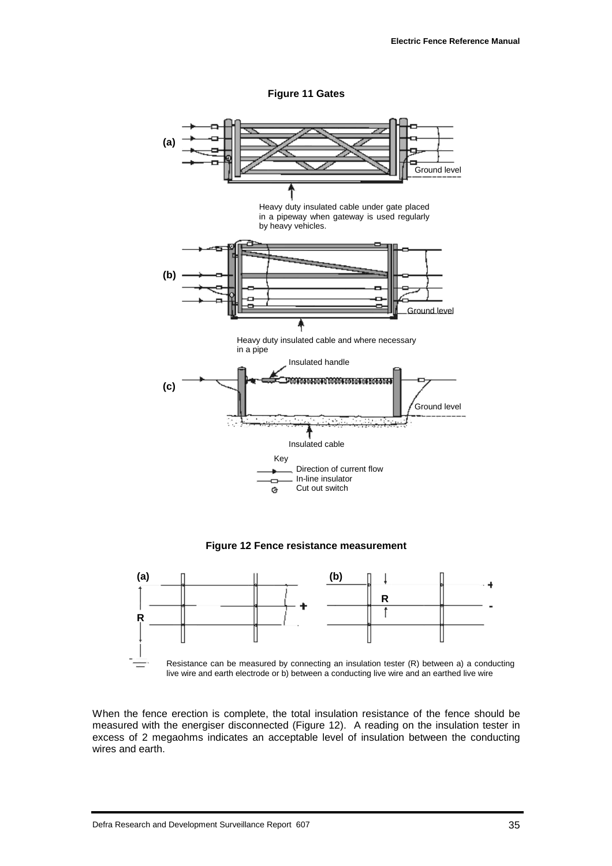**Figure 11 Gates**



**Figure 12 Fence resistance measurement**



When the fence erection is complete, the total insulation resistance of the fence should be measured with the energiser disconnected (Figure 12). A reading on the insulation tester in excess of 2 megaohms indicates an acceptable level of insulation between the conducting wires and earth.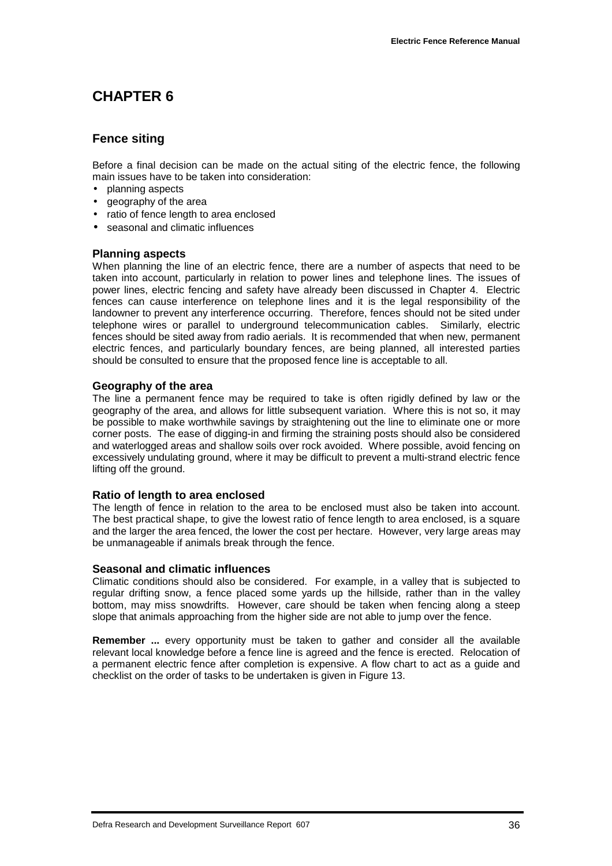## **CHAPTER 6**

#### **Fence siting**

Before a final decision can be made on the actual siting of the electric fence, the following main issues have to be taken into consideration:

- planning aspects
- geography of the area
- ratio of fence length to area enclosed
- seasonal and climatic influences

#### **Planning aspects**

When planning the line of an electric fence, there are a number of aspects that need to be taken into account, particularly in relation to power lines and telephone lines. The issues of power lines, electric fencing and safety have already been discussed in Chapter 4. Electric fences can cause interference on telephone lines and it is the legal responsibility of the landowner to prevent any interference occurring. Therefore, fences should not be sited under telephone wires or parallel to underground telecommunication cables. Similarly, electric fences should be sited away from radio aerials. It is recommended that when new, permanent electric fences, and particularly boundary fences, are being planned, all interested parties should be consulted to ensure that the proposed fence line is acceptable to all.

#### **Geography of the area**

The line a permanent fence may be required to take is often rigidly defined by law or the geography of the area, and allows for little subsequent variation. Where this is not so, it may be possible to make worthwhile savings by straightening out the line to eliminate one or more corner posts. The ease of digging-in and firming the straining posts should also be considered and waterlogged areas and shallow soils over rock avoided. Where possible, avoid fencing on excessively undulating ground, where it may be difficult to prevent a multi-strand electric fence lifting off the ground.

#### **Ratio of length to area enclosed**

The length of fence in relation to the area to be enclosed must also be taken into account. The best practical shape, to give the lowest ratio of fence length to area enclosed, is a square and the larger the area fenced, the lower the cost per hectare. However, very large areas may be unmanageable if animals break through the fence.

#### **Seasonal and climatic influences**

Climatic conditions should also be considered. For example, in a valley that is subjected to regular drifting snow, a fence placed some yards up the hillside, rather than in the valley bottom, may miss snowdrifts. However, care should be taken when fencing along a steep slope that animals approaching from the higher side are not able to jump over the fence.

**Remember ...** every opportunity must be taken to gather and consider all the available relevant local knowledge before a fence line is agreed and the fence is erected. Relocation of a permanent electric fence after completion is expensive. A flow chart to act as a guide and checklist on the order of tasks to be undertaken is given in Figure 13.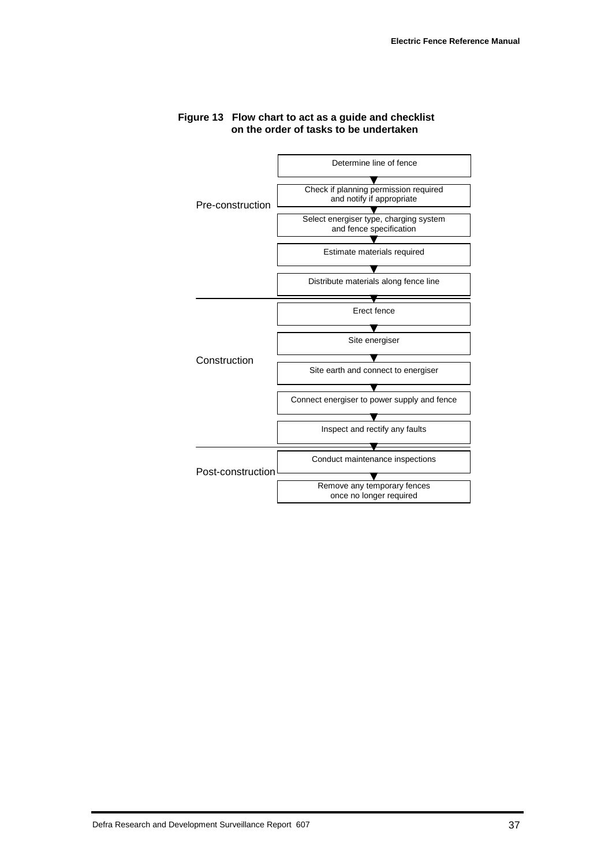

#### **Figure 13 Flow chart to act as a guide and checklist on the order of tasks to be undertaken**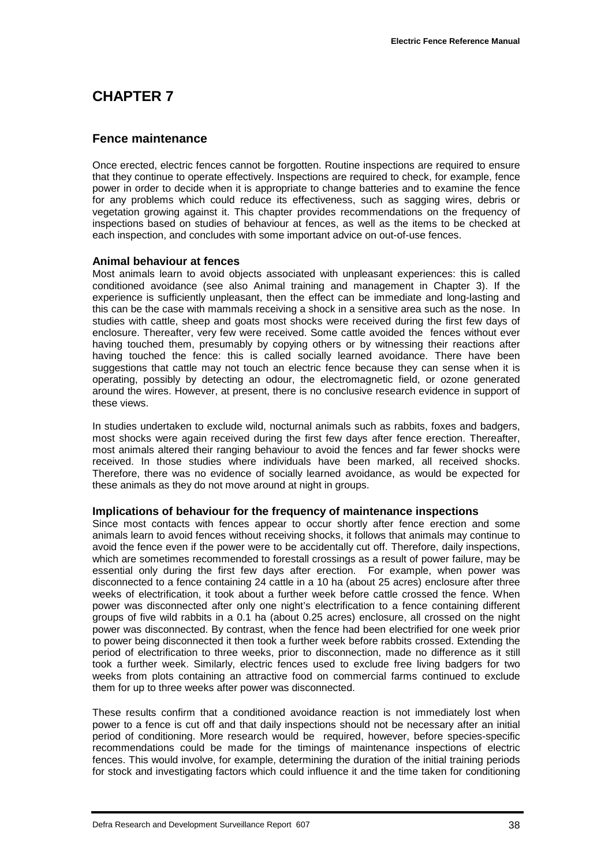## **CHAPTER 7**

#### **Fence maintenance**

Once erected, electric fences cannot be forgotten. Routine inspections are required to ensure that they continue to operate effectively. Inspections are required to check, for example, fence power in order to decide when it is appropriate to change batteries and to examine the fence for any problems which could reduce its effectiveness, such as sagging wires, debris or vegetation growing against it. This chapter provides recommendations on the frequency of inspections based on studies of behaviour at fences, as well as the items to be checked at each inspection, and concludes with some important advice on out-of-use fences.

#### **Animal behaviour at fences**

Most animals learn to avoid objects associated with unpleasant experiences: this is called conditioned avoidance (see also Animal training and management in Chapter 3). If the experience is sufficiently unpleasant, then the effect can be immediate and long-lasting and this can be the case with mammals receiving a shock in a sensitive area such as the nose. In studies with cattle, sheep and goats most shocks were received during the first few days of enclosure. Thereafter, very few were received. Some cattle avoided the fences without ever having touched them, presumably by copying others or by witnessing their reactions after having touched the fence: this is called socially learned avoidance. There have been suggestions that cattle may not touch an electric fence because they can sense when it is operating, possibly by detecting an odour, the electromagnetic field, or ozone generated around the wires. However, at present, there is no conclusive research evidence in support of these views.

In studies undertaken to exclude wild, nocturnal animals such as rabbits, foxes and badgers, most shocks were again received during the first few days after fence erection. Thereafter, most animals altered their ranging behaviour to avoid the fences and far fewer shocks were received. In those studies where individuals have been marked, all received shocks. Therefore, there was no evidence of socially learned avoidance, as would be expected for these animals as they do not move around at night in groups.

#### **Implications of behaviour for the frequency of maintenance inspections**

Since most contacts with fences appear to occur shortly after fence erection and some animals learn to avoid fences without receiving shocks, it follows that animals may continue to avoid the fence even if the power were to be accidentally cut off. Therefore, daily inspections, which are sometimes recommended to forestall crossings as a result of power failure, may be essential only during the first few days after erection. For example, when power was disconnected to a fence containing 24 cattle in a 10 ha (about 25 acres) enclosure after three weeks of electrification, it took about a further week before cattle crossed the fence. When power was disconnected after only one night's electrification to a fence containing different groups of five wild rabbits in a 0.1 ha (about 0.25 acres) enclosure, all crossed on the night power was disconnected. By contrast, when the fence had been electrified for one week prior to power being disconnected it then took a further week before rabbits crossed. Extending the period of electrification to three weeks, prior to disconnection, made no difference as it still took a further week. Similarly, electric fences used to exclude free living badgers for two weeks from plots containing an attractive food on commercial farms continued to exclude them for up to three weeks after power was disconnected.

These results confirm that a conditioned avoidance reaction is not immediately lost when power to a fence is cut off and that daily inspections should not be necessary after an initial period of conditioning. More research would be required, however, before species-specific recommendations could be made for the timings of maintenance inspections of electric fences. This would involve, for example, determining the duration of the initial training periods for stock and investigating factors which could influence it and the time taken for conditioning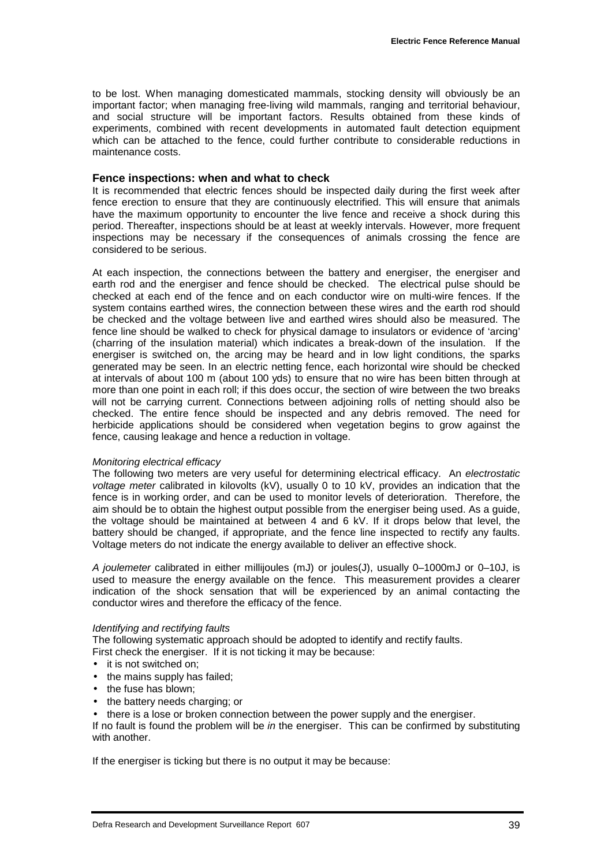to be lost. When managing domesticated mammals, stocking density will obviously be an important factor; when managing free-living wild mammals, ranging and territorial behaviour, and social structure will be important factors. Results obtained from these kinds of experiments, combined with recent developments in automated fault detection equipment which can be attached to the fence, could further contribute to considerable reductions in maintenance costs.

#### **Fence inspections: when and what to check**

It is recommended that electric fences should be inspected daily during the first week after fence erection to ensure that they are continuously electrified. This will ensure that animals have the maximum opportunity to encounter the live fence and receive a shock during this period. Thereafter, inspections should be at least at weekly intervals. However, more frequent inspections may be necessary if the consequences of animals crossing the fence are considered to be serious.

At each inspection, the connections between the battery and energiser, the energiser and earth rod and the energiser and fence should be checked. The electrical pulse should be checked at each end of the fence and on each conductor wire on multi-wire fences. If the system contains earthed wires, the connection between these wires and the earth rod should be checked and the voltage between live and earthed wires should also be measured. The fence line should be walked to check for physical damage to insulators or evidence of 'arcing' (charring of the insulation material) which indicates a break-down of the insulation. If the energiser is switched on, the arcing may be heard and in low light conditions, the sparks generated may be seen. In an electric netting fence, each horizontal wire should be checked at intervals of about 100 m (about 100 yds) to ensure that no wire has been bitten through at more than one point in each roll; if this does occur, the section of wire between the two breaks will not be carrying current. Connections between adjoining rolls of netting should also be checked. The entire fence should be inspected and any debris removed. The need for herbicide applications should be considered when vegetation begins to grow against the fence, causing leakage and hence a reduction in voltage.

#### *Monitoring electrical efficacy*

The following two meters are very useful for determining electrical efficacy. An *electrostatic voltage meter* calibrated in kilovolts (kV), usually 0 to 10 kV, provides an indication that the fence is in working order, and can be used to monitor levels of deterioration.Therefore, the aim should be to obtain the highest output possible from the energiser being used. As a guide, the voltage should be maintained at between 4 and 6 kV. If it drops below that level, the battery should be changed, if appropriate, and the fence line inspected to rectify any faults. Voltage meters do not indicate the energy available to deliver an effective shock.

*A joulemeter* calibrated in either millijoules (mJ) or joules(J), usually 0–1000mJ or 0–10J, is used to measure the energy available on the fence. This measurement provides a clearer indication of the shock sensation that will be experienced by an animal contacting the conductor wires and therefore the efficacy of the fence.

#### *Identifying and rectifying faults*

The following systematic approach should be adopted to identify and rectify faults.

First check the energiser. If it is not ticking it may be because:

- it is not switched on:
- the mains supply has failed;
- the fuse has blown:
- the battery needs charging; or
- there is a lose or broken connection between the power supply and the energiser.

If no fault is found the problem will be *in* the energiser. This can be confirmed by substituting with another.

If the energiser is ticking but there is no output it may be because: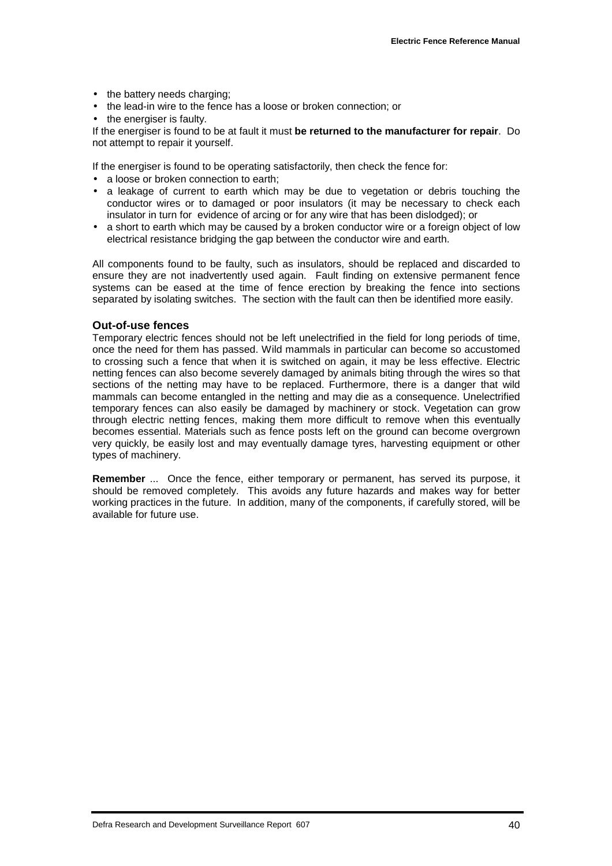- the battery needs charging;
- the lead-in wire to the fence has a loose or broken connection; or
- the energiser is faulty.

If the energiser is found to be at fault it must **be returned to the manufacturer for repair**. Do not attempt to repair it yourself.

If the energiser is found to be operating satisfactorily, then check the fence for:

- a loose or broken connection to earth:
- a leakage of current to earth which may be due to vegetation or debris touching the conductor wires or to damaged or poor insulators (it may be necessary to check each insulator in turn for evidence of arcing or for any wire that has been dislodged); or
- a short to earth which may be caused by a broken conductor wire or a foreign object of low electrical resistance bridging the gap between the conductor wire and earth.

All components found to be faulty, such as insulators, should be replaced and discarded to ensure they are not inadvertently used again. Fault finding on extensive permanent fence systems can be eased at the time of fence erection by breaking the fence into sections separated by isolating switches. The section with the fault can then be identified more easily.

#### **Out-of-use fences**

Temporary electric fences should not be left unelectrified in the field for long periods of time, once the need for them has passed. Wild mammals in particular can become so accustomed to crossing such a fence that when it is switched on again, it may be less effective. Electric netting fences can also become severely damaged by animals biting through the wires so that sections of the netting may have to be replaced. Furthermore, there is a danger that wild mammals can become entangled in the netting and may die as a consequence. Unelectrified temporary fences can also easily be damaged by machinery or stock. Vegetation can grow through electric netting fences, making them more difficult to remove when this eventually becomes essential. Materials such as fence posts left on the ground can become overgrown very quickly, be easily lost and may eventually damage tyres, harvesting equipment or other types of machinery.

**Remember** ... Once the fence, either temporary or permanent, has served its purpose, it should be removed completely. This avoids any future hazards and makes way for better working practices in the future. In addition, many of the components, if carefully stored, will be available for future use.